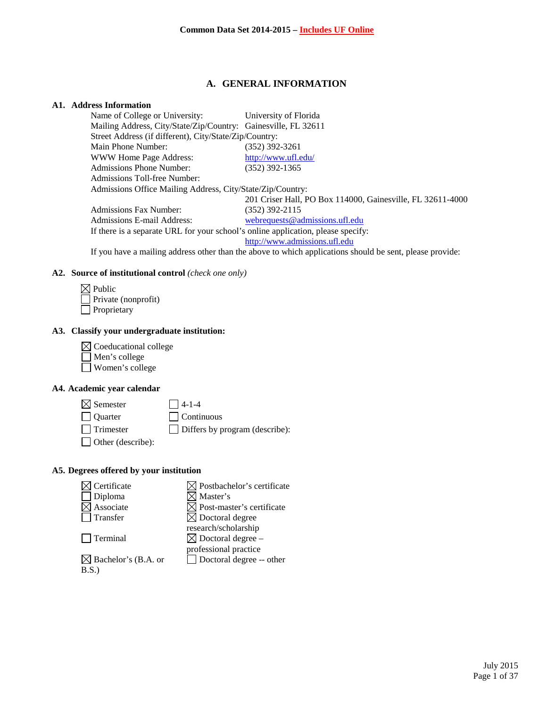# **A. GENERAL INFORMATION**

# **A1. Address Information**

| Name of College or University:                                                   | University of Florida                                      |
|----------------------------------------------------------------------------------|------------------------------------------------------------|
| Mailing Address, City/State/Zip/Country: Gainesville, FL 32611                   |                                                            |
| Street Address (if different), City/State/Zip/Country:                           |                                                            |
| Main Phone Number:                                                               | (352) 392-3261                                             |
| WWW Home Page Address:                                                           | http://www.ufl.edu/                                        |
| <b>Admissions Phone Number:</b>                                                  | $(352)$ 392-1365                                           |
| Admissions Toll-free Number:                                                     |                                                            |
| Admissions Office Mailing Address, City/State/Zip/Country:                       |                                                            |
|                                                                                  | 201 Criser Hall, PO Box 114000, Gainesville, FL 32611-4000 |
| <b>Admissions Fax Number:</b>                                                    | $(352)$ 392-2115                                           |
| Admissions E-mail Address:                                                       | webrequests@admissions.ufl.edu                             |
| If there is a separate URL for your school's online application, please specify: |                                                            |
|                                                                                  | http://www.admissions.ufl.edu                              |

If you have a mailing address other than the above to which applications should be sent, please provide:

#### **A2. Source of institutional control** *(check one only)*

| $\boxtimes$ Public         |
|----------------------------|
| $\Box$ Private (nonprofit) |
| $\Box$ Proprietary         |

## **A3. Classify your undergraduate institution:**

 $\boxtimes$  Coeducational college Men's college  $\overline{\Box}$  Women's college

# **A4. Academic year calendar**

 $\boxtimes$  Semester 14-1-4 Quarter Continuous Trimester Differs by program (describe):

Other (describe):

#### **A5. Degrees offered by your institution**

| Certificate                     | $\boxtimes$ Postbachelor's certificate |
|---------------------------------|----------------------------------------|
| Diploma                         | ] Master's                             |
| Associate                       | $\boxtimes$ Post-master's certificate  |
| Transfer                        | $\boxtimes$ Doctoral degree            |
|                                 | research/scholarship                   |
| Terminal                        | $\boxtimes$ Doctoral degree –          |
|                                 | professional practice                  |
| $\boxtimes$ Bachelor's (B.A. or | Doctoral degree -- other               |
| B.S.                            |                                        |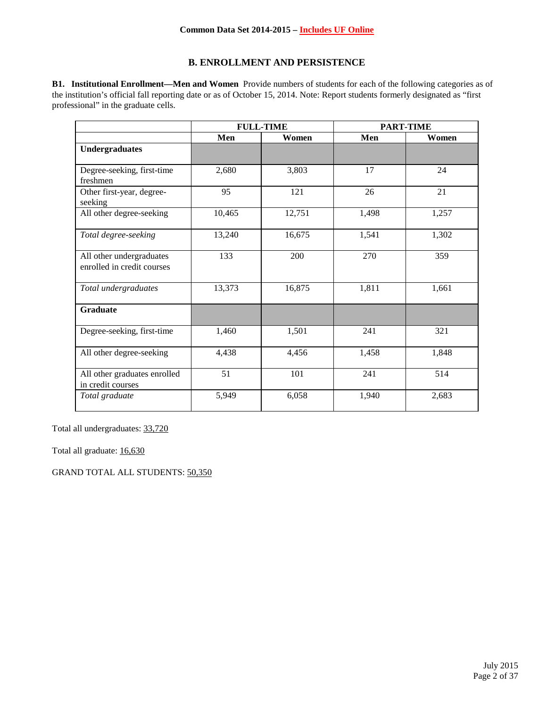#### **Common Data Set 2014-2015 – Includes UF Online**

# **B. ENROLLMENT AND PERSISTENCE**

**B1. Institutional Enrollment—Men and Women** Provide numbers of students for each of the following categories as of the institution's official fall reporting date or as of October 15, 2014. Note: Report students formerly designated as "first professional" in the graduate cells.

|                                                        | <b>FULL-TIME</b> |        | <b>PART-TIME</b> |       |
|--------------------------------------------------------|------------------|--------|------------------|-------|
|                                                        | Men              | Women  | Men              | Women |
| <b>Undergraduates</b>                                  |                  |        |                  |       |
| Degree-seeking, first-time<br>freshmen                 | 2,680            | 3,803  | 17               | 24    |
| Other first-year, degree-<br>seeking                   | 95               | 121    | 26               | 21    |
| All other degree-seeking                               | 10,465           | 12,751 | 1,498            | 1,257 |
| Total degree-seeking                                   | 13,240           | 16,675 | 1,541            | 1,302 |
| All other undergraduates<br>enrolled in credit courses | 133              | 200    | 270              | 359   |
| Total undergraduates                                   | 13,373           | 16,875 | 1,811            | 1,661 |
| <b>Graduate</b>                                        |                  |        |                  |       |
| Degree-seeking, first-time                             | 1,460            | 1,501  | 241              | 321   |
| All other degree-seeking                               | 4,438            | 4,456  | 1,458            | 1,848 |
| All other graduates enrolled<br>in credit courses      | 51               | 101    | 241              | 514   |
| Total graduate                                         | 5,949            | 6,058  | 1,940            | 2,683 |

Total all undergraduates: 33,720

Total all graduate: 16,630

GRAND TOTAL ALL STUDENTS: 50,350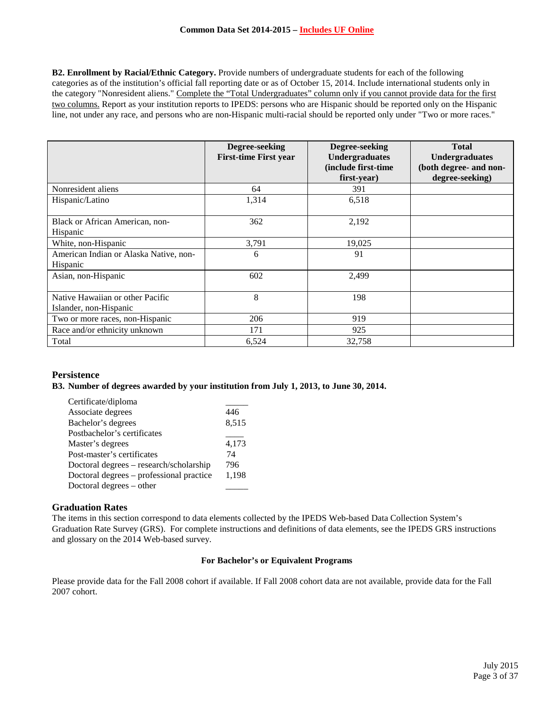**B2. Enrollment by Racial/Ethnic Category.** Provide numbers of undergraduate students for each of the following categories as of the institution's official fall reporting date or as of October 15, 2014. Include international students only in the category "Nonresident aliens." Complete the "Total Undergraduates" column only if you cannot provide data for the first two columns. Report as your institution reports to IPEDS: persons who are Hispanic should be reported only on the Hispanic line, not under any race, and persons who are non-Hispanic multi-racial should be reported only under "Two or more races."

|                                                            | Degree-seeking<br><b>First-time First year</b> | Degree-seeking<br><b>Undergraduates</b><br>(include first-time<br>first-year) | <b>Total</b><br><b>Undergraduates</b><br>(both degree- and non-<br>degree-seeking) |
|------------------------------------------------------------|------------------------------------------------|-------------------------------------------------------------------------------|------------------------------------------------------------------------------------|
| Nonresident aliens                                         | 64                                             | 391                                                                           |                                                                                    |
| Hispanic/Latino                                            | 1,314                                          | 6,518                                                                         |                                                                                    |
| Black or African American, non-<br>Hispanic                | 362                                            | 2,192                                                                         |                                                                                    |
| White, non-Hispanic                                        | 3,791                                          | 19,025                                                                        |                                                                                    |
| American Indian or Alaska Native, non-<br>Hispanic         | 6                                              | 91                                                                            |                                                                                    |
| Asian, non-Hispanic                                        | 602                                            | 2,499                                                                         |                                                                                    |
| Native Hawaiian or other Pacific<br>Islander, non-Hispanic | 8                                              | 198                                                                           |                                                                                    |
| Two or more races, non-Hispanic                            | 206                                            | 919                                                                           |                                                                                    |
| Race and/or ethnicity unknown                              | 171                                            | 925                                                                           |                                                                                    |
| Total                                                      | 6,524                                          | 32,758                                                                        |                                                                                    |

# **Persistence**

#### **B3. Number of degrees awarded by your institution from July 1, 2013, to June 30, 2014.**

| Certificate/diploma                      |       |
|------------------------------------------|-------|
| Associate degrees                        | 446   |
| Bachelor's degrees                       | 8,515 |
| Postbachelor's certificates              |       |
| Master's degrees                         | 4,173 |
| Post-master's certificates               | 74    |
| Doctoral degrees – research/scholarship  | 796   |
| Doctoral degrees – professional practice | 1,198 |
| Doctoral degrees – other                 |       |
|                                          |       |

#### **Graduation Rates**

The items in this section correspond to data elements collected by the IPEDS Web-based Data Collection System's Graduation Rate Survey (GRS). For complete instructions and definitions of data elements, see the IPEDS GRS instructions and glossary on the 2014 Web-based survey.

#### **For Bachelor's or Equivalent Programs**

Please provide data for the Fall 2008 cohort if available. If Fall 2008 cohort data are not available, provide data for the Fall 2007 cohort.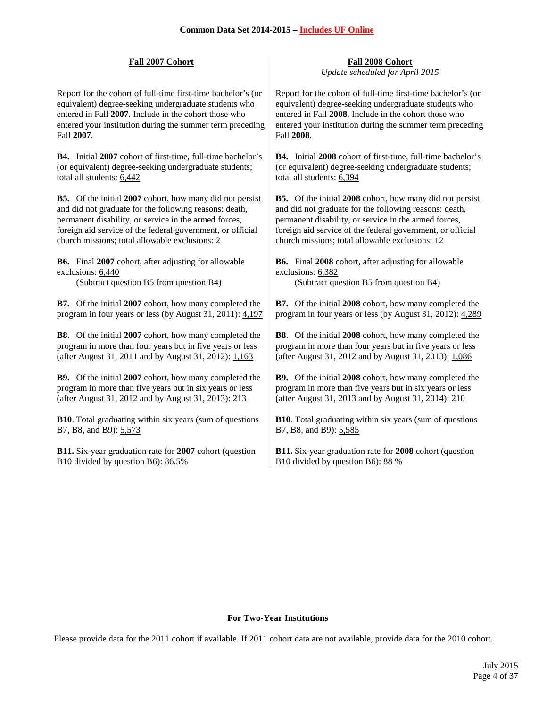Report for the cohort of full-time first-time bachelor's (or equivalent) degree-seeking undergraduate students who entered in Fall **2007**. Include in the cohort those who entered your institution during the summer term preceding Fall **2007**.

**B4.** Initial **2007** cohort of first-time, full-time bachelor's (or equivalent) degree-seeking undergraduate students; total all students: 6,442

**B5.** Of the initial **2007** cohort, how many did not persist and did not graduate for the following reasons: death, permanent disability, or service in the armed forces, foreign aid service of the federal government, or official church missions; total allowable exclusions: 2

**B6.** Final **2007** cohort, after adjusting for allowable exclusions: 6,440

**B7.** Of the initial **2007** cohort, how many completed the program in four years or less (by August 31, 2011): 4,197

**B8**. Of the initial **2007** cohort, how many completed the program in more than four years but in five years or less (after August 31, 2011 and by August 31, 2012): 1,163

**B9.** Of the initial **2007** cohort, how many completed the program in more than five years but in six years or less (after August 31, 2012 and by August 31, 2013): 213

**B10**. Total graduating within six years (sum of questions B7, B8, and B9): 5,573

**B11.** Six-year graduation rate for **2007** cohort (question B10 divided by question B6): 86.5%

**Fall 2007 Cohort Fall 2008 Cohort** *Update scheduled for April 2015*

> Report for the cohort of full-time first-time bachelor's (or equivalent) degree-seeking undergraduate students who entered in Fall **2008**. Include in the cohort those who entered your institution during the summer term preceding Fall **2008**.

> **B4.** Initial **2008** cohort of first-time, full-time bachelor's (or equivalent) degree-seeking undergraduate students; total all students: 6,394

> **B5.** Of the initial **2008** cohort, how many did not persist and did not graduate for the following reasons: death, permanent disability, or service in the armed forces, foreign aid service of the federal government, or official church missions; total allowable exclusions: 12

**B6.** Final **2008** cohort, after adjusting for allowable exclusions: 6,382

(Subtract question B5 from question B4) (Subtract question B5 from question B4)

**B7.** Of the initial **2008** cohort, how many completed the program in four years or less (by August 31, 2012): 4,289

**B8**. Of the initial **2008** cohort, how many completed the program in more than four years but in five years or less (after August 31, 2012 and by August 31, 2013): 1,086

**B9.** Of the initial **2008** cohort, how many completed the program in more than five years but in six years or less (after August 31, 2013 and by August 31, 2014): 210

**B10**. Total graduating within six years (sum of questions B7, B8, and B9): 5,585

**B11.** Six-year graduation rate for **2008** cohort (question B10 divided by question B6): 88 %

#### **For Two-Year Institutions**

Please provide data for the 2011 cohort if available. If 2011 cohort data are not available, provide data for the 2010 cohort.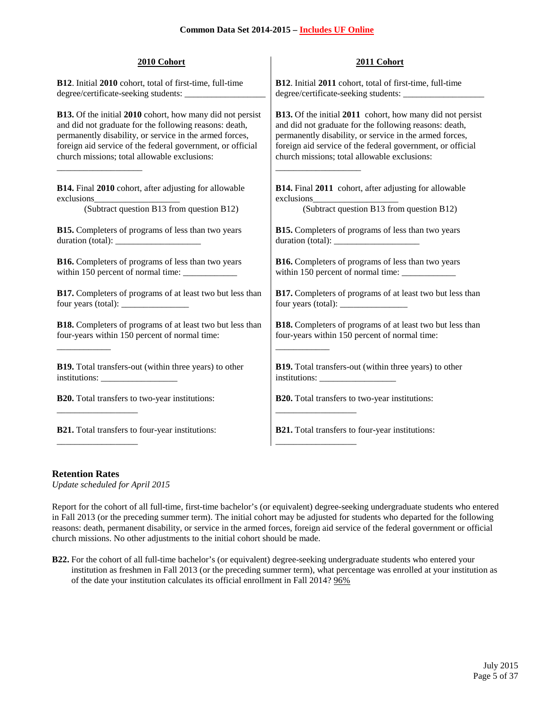| 2010 Cohort                                                      | 2011 Cohort                                                                               |
|------------------------------------------------------------------|-------------------------------------------------------------------------------------------|
| B12. Initial 2010 cohort, total of first-time, full-time         | <b>B12.</b> Initial 2011 cohort, total of first-time, full-time                           |
|                                                                  |                                                                                           |
| <b>B13.</b> Of the initial 2010 cohort, how many did not persist | <b>B13.</b> Of the initial 2011 cohort, how many did not persist                          |
| and did not graduate for the following reasons: death,           | and did not graduate for the following reasons: death,                                    |
| permanently disability, or service in the armed forces,          | permanently disability, or service in the armed forces,                                   |
| foreign aid service of the federal government, or official       | foreign aid service of the federal government, or official                                |
| church missions; total allowable exclusions:                     | church missions; total allowable exclusions:                                              |
| B14. Final 2010 cohort, after adjusting for allowable            | <b>B14.</b> Final 2011 cohort, after adjusting for allowable                              |
|                                                                  |                                                                                           |
| (Subtract question B13 from question B12)                        | (Subtract question B13 from question B12)                                                 |
| <b>B15.</b> Completers of programs of less than two years        | <b>B15.</b> Completers of programs of less than two years                                 |
|                                                                  |                                                                                           |
| <b>B16.</b> Completers of programs of less than two years        | <b>B16.</b> Completers of programs of less than two years                                 |
| within 150 percent of normal time: ____________                  | within 150 percent of normal time: ____________                                           |
| B17. Completers of programs of at least two but less than        | B17. Completers of programs of at least two but less than                                 |
|                                                                  | four years (total): $\frac{1}{\sqrt{1-\frac{1}{2}} \cdot \frac{1}{\sqrt{1-\frac{1}{2}}}}$ |
| <b>B18.</b> Completers of programs of at least two but less than | B18. Completers of programs of at least two but less than                                 |
| four-years within 150 percent of normal time:                    | four-years within 150 percent of normal time:                                             |
| B19. Total transfers-out (within three years) to other           | <b>B19.</b> Total transfers-out (within three years) to other                             |
|                                                                  |                                                                                           |
| <b>B20.</b> Total transfers to two-year institutions:            | <b>B20.</b> Total transfers to two-year institutions:                                     |
| <b>B21.</b> Total transfers to four-year institutions:           | <b>B21.</b> Total transfers to four-year institutions:                                    |

#### **Retention Rates**

*Update scheduled for April 2015*

Report for the cohort of all full-time, first-time bachelor's (or equivalent) degree-seeking undergraduate students who entered in Fall 2013 (or the preceding summer term). The initial cohort may be adjusted for students who departed for the following reasons: death, permanent disability, or service in the armed forces, foreign aid service of the federal government or official church missions. No other adjustments to the initial cohort should be made.

**B22.** For the cohort of all full-time bachelor's (or equivalent) degree-seeking undergraduate students who entered your institution as freshmen in Fall 2013 (or the preceding summer term), what percentage was enrolled at your institution as of the date your institution calculates its official enrollment in Fall 2014? 96%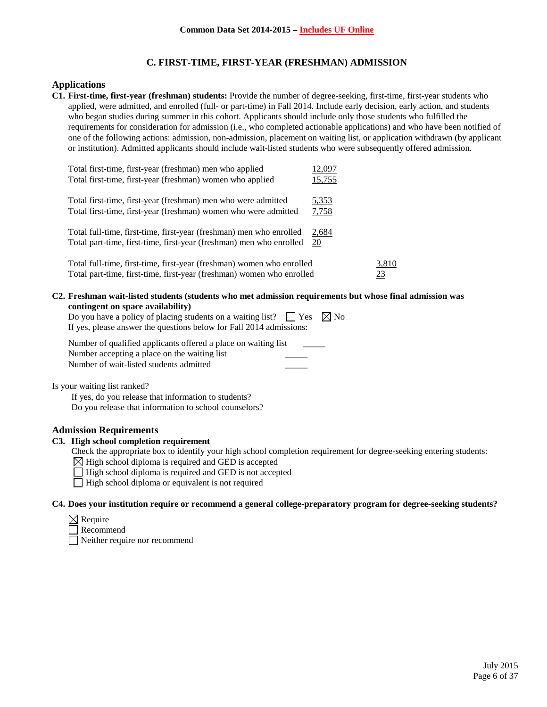# **C. FIRST-TIME, FIRST-YEAR (FRESHMAN) ADMISSION**

## **Applications**

**C1. First-time, first-year (freshman) students:** Provide the number of degree-seeking, first-time, first-year students who applied, were admitted, and enrolled (full- or part-time) in Fall 2014. Include early decision, early action, and students who began studies during summer in this cohort. Applicants should include only those students who fulfilled the requirements for consideration for admission (i.e., who completed actionable applications) and who have been notified of one of the following actions: admission, non-admission, placement on waiting list, or application withdrawn (by applicant or institution). Admitted applicants should include wait-listed students who were subsequently offered admission.

| Total first-time, first-year (freshman) men who applied<br>Total first-time, first-year (freshman) women who applied                           | 12,097<br>15,755      |             |
|------------------------------------------------------------------------------------------------------------------------------------------------|-----------------------|-------------|
| Total first-time, first-year (freshman) men who were admitted<br>Total first-time, first-year (freshman) women who were admitted               | <u>5,353</u><br>7,758 |             |
| Total full-time, first-time, first-year (freshman) men who enrolled<br>Total part-time, first-time, first-year (freshman) men who enrolled     | 2,684<br>20           |             |
| Total full-time, first-time, first-year (freshman) women who enrolled<br>Total part-time, first-time, first-year (freshman) women who enrolled |                       | 3,810<br>23 |

#### **C2. Freshman wait-listed students (students who met admission requirements but whose final admission was contingent on space availability)**

| Do you have a policy of placing students on a waiting list? $\Box$ Yes $\boxtimes$ No |  |
|---------------------------------------------------------------------------------------|--|
| If yes, please answer the questions below for Fall 2014 admissions:                   |  |

| Number of qualified applicants offered a place on waiting list |  |
|----------------------------------------------------------------|--|
| Number accepting a place on the waiting list                   |  |
| Number of wait-listed students admitted                        |  |

Is your waiting list ranked?

If yes, do you release that information to students? Do you release that information to school counselors?

## **Admission Requirements**

## **C3. High school completion requirement**

Check the appropriate box to identify your high school completion requirement for degree-seeking entering students:

 $\boxtimes$  High school diploma is required and GED is accepted

 $\Box$  High school diploma is required and GED is not accepted

 $\Box$  High school diploma or equivalent is not required

#### **C4. Does your institution require or recommend a general college-preparatory program for degree-seeking students?**

- $\boxtimes$  Require
- Recommend

Neither require nor recommend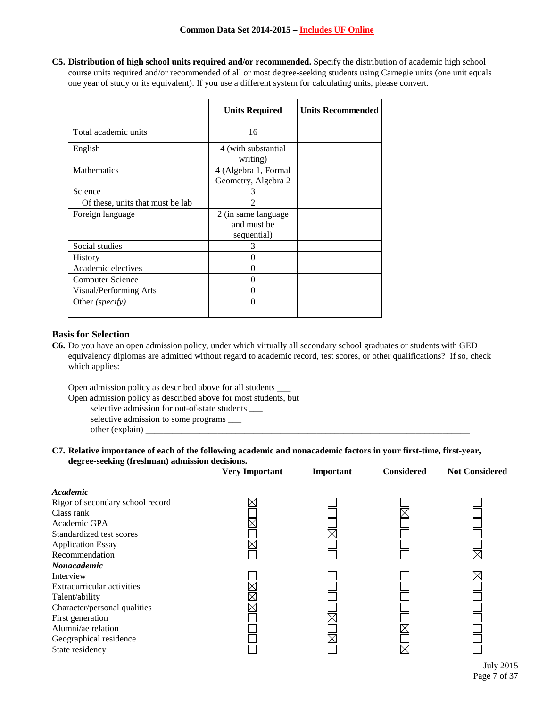**C5. Distribution of high school units required and/or recommended.** Specify the distribution of academic high school course units required and/or recommended of all or most degree-seeking students using Carnegie units (one unit equals one year of study or its equivalent). If you use a different system for calculating units, please convert.

|                                  | <b>Units Required</b>                              | <b>Units Recommended</b> |
|----------------------------------|----------------------------------------------------|--------------------------|
| Total academic units             | 16                                                 |                          |
| English                          | 4 (with substantial<br>writing)                    |                          |
| <b>Mathematics</b>               | 4 (Algebra 1, Formal<br>Geometry, Algebra 2        |                          |
| Science                          | 3                                                  |                          |
| Of these, units that must be lab |                                                    |                          |
| Foreign language                 | 2 (in same language)<br>and must be<br>sequential) |                          |
| Social studies                   | 3                                                  |                          |
| <b>History</b>                   | 0                                                  |                          |
| Academic electives               | $\Omega$                                           |                          |
| Computer Science                 | 0                                                  |                          |
| Visual/Performing Arts           | 0                                                  |                          |
| Other ( <i>specify</i> )         | 0                                                  |                          |

#### **Basis for Selection**

**C6.** Do you have an open admission policy, under which virtually all secondary school graduates or students with GED equivalency diplomas are admitted without regard to academic record, test scores, or other qualifications? If so, check which applies:

Open admission policy as described above for all students \_\_\_

- Open admission policy as described above for most students, but selective admission for out-of-state students \_\_\_
	- selective admission to some programs \_\_\_
	- other (explain) \_\_\_\_\_\_\_\_\_\_\_\_\_\_\_\_\_\_\_\_\_\_\_\_\_\_\_\_\_\_\_\_\_\_\_\_\_\_\_\_\_\_\_\_\_\_\_\_\_\_\_\_\_\_\_\_\_\_\_\_\_\_\_\_\_\_\_\_\_\_\_\_

#### **C7. Relative importance of each of the following academic and nonacademic factors in your first-time, first-year, degree-seeking (freshman) admission decisions.**

|                                  | <b>Very Important</b> | Important | <b>Considered</b> | <b>Not Considered</b> |
|----------------------------------|-----------------------|-----------|-------------------|-----------------------|
| Academic                         |                       |           |                   |                       |
| Rigor of secondary school record |                       |           |                   |                       |
| Class rank                       |                       |           |                   |                       |
| Academic GPA                     |                       |           |                   |                       |
| Standardized test scores         |                       |           |                   |                       |
| <b>Application Essay</b>         |                       |           |                   |                       |
| Recommendation                   |                       |           |                   |                       |
| Nonacademic                      |                       |           |                   |                       |
| Interview                        |                       |           |                   |                       |
| Extracurricular activities       |                       |           |                   |                       |
| Talent/ability                   |                       |           |                   |                       |
| Character/personal qualities     |                       |           |                   |                       |
| First generation                 |                       |           |                   |                       |
| Alumni/ae relation               |                       |           |                   |                       |
| Geographical residence           |                       |           |                   |                       |
| State residency                  |                       |           |                   |                       |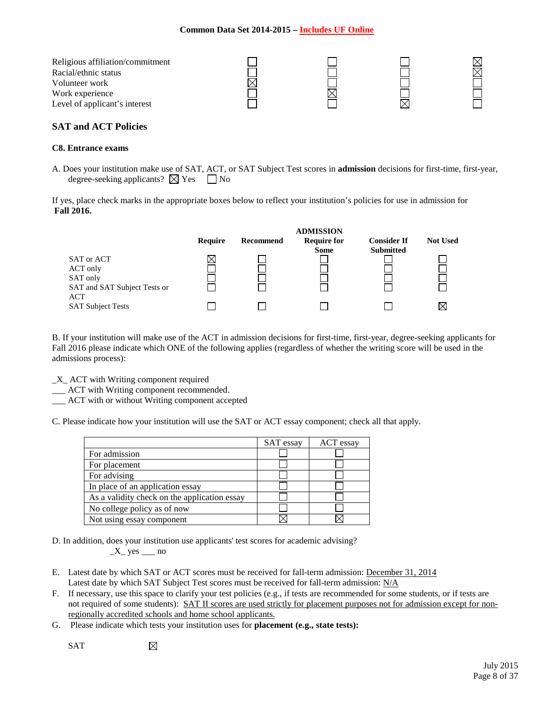## **Common Data Set 2014-2015 – Includes UF Online**

| Religious affiliation/commitment |  |  |
|----------------------------------|--|--|
| Racial/ethnic status             |  |  |
| Volunteer work                   |  |  |
| Work experience                  |  |  |
| Level of applicant's interest    |  |  |

# **SAT and ACT Policies**

#### **C8. Entrance exams**

A. Does your institution make use of SAT, ACT, or SAT Subject Test scores in **admission** decisions for first-time, first-year, degree-seeking applicants?  $\boxtimes$  Yes  $\Box$  No

If yes, place check marks in the appropriate boxes below to reflect your institution's policies for use in admission for **Fall 2016.**

|                                                                           | Require | Recommend | <b>ADMISSION</b><br><b>Require for</b><br><b>Some</b> | <b>Consider If</b><br><b>Submitted</b> | <b>Not Used</b> |
|---------------------------------------------------------------------------|---------|-----------|-------------------------------------------------------|----------------------------------------|-----------------|
| SAT or ACT<br>ACT only<br>SAT only<br>SAT and SAT Subject Tests or<br>ACT |         |           |                                                       |                                        |                 |
| <b>SAT Subject Tests</b>                                                  |         |           |                                                       |                                        |                 |

B. If your institution will make use of the ACT in admission decisions for first-time, first-year, degree-seeking applicants for Fall 2016 please indicate which ONE of the following applies (regardless of whether the writing score will be used in the admissions process):

- \_X\_ ACT with Writing component required
- \_\_\_ ACT with Writing component recommended.
- \_\_\_ ACT with or without Writing component accepted

C. Please indicate how your institution will use the SAT or ACT essay component; check all that apply.

|                                              | SAT essay | ACT essay |
|----------------------------------------------|-----------|-----------|
| For admission                                |           |           |
| For placement                                |           |           |
| For advising                                 |           |           |
| In place of an application essay             |           |           |
| As a validity check on the application essay |           |           |
| No college policy as of now                  |           |           |
| Not using essay component                    |           |           |

D. In addition, does your institution use applicants' test scores for academic advising?

 $X$  yes  $\_\_$ no

⊠

- E. Latest date by which SAT or ACT scores must be received for fall-term admission: December 31, 2014 Latest date by which SAT Subject Test scores must be received for fall-term admission: N/A
- F. If necessary, use this space to clarify your test policies (e.g., if tests are recommended for some students, or if tests are not required of some students): SAT II scores are used strictly for placement purposes not for admission except for nonregionally accredited schools and home school applicants.
- G. Please indicate which tests your institution uses for **placement (e.g., state tests):**

SAT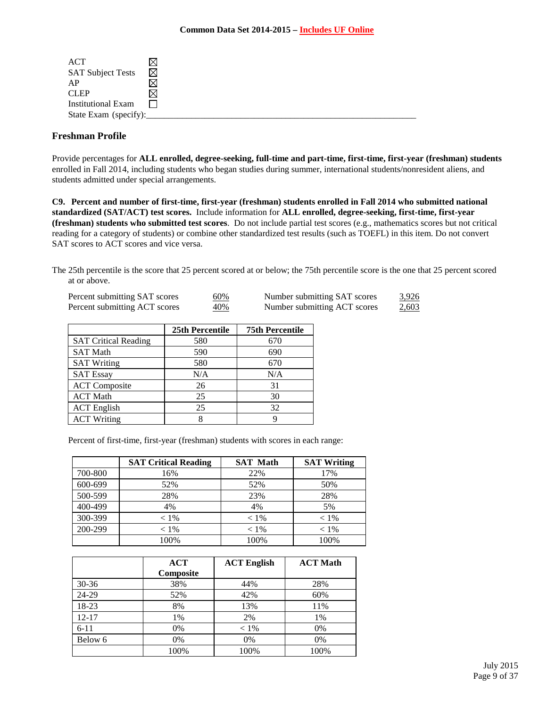| ACT                       |   |  |
|---------------------------|---|--|
| <b>SAT Subject Tests</b>  | ⊠ |  |
| AP                        |   |  |
| <b>CLEP</b>               |   |  |
| <b>Institutional Exam</b> |   |  |
| State Exam (specify):     |   |  |

# **Freshman Profile**

Provide percentages for **ALL enrolled, degree-seeking, full-time and part-time, first-time, first-year (freshman) students**  enrolled in Fall 2014, including students who began studies during summer, international students/nonresident aliens, and students admitted under special arrangements.

**C9. Percent and number of first-time, first-year (freshman) students enrolled in Fall 2014 who submitted national standardized (SAT/ACT) test scores.** Include information for **ALL enrolled, degree-seeking, first-time, first-year (freshman) students who submitted test scores**. Do not include partial test scores (e.g., mathematics scores but not critical reading for a category of students) or combine other standardized test results (such as TOEFL) in this item. Do not convert SAT scores to ACT scores and vice versa.

The 25th percentile is the score that 25 percent scored at or below; the 75th percentile score is the one that 25 percent scored at or above.

| Percent submitting SAT scores | 60% | Number submitting SAT scores | 3,926 |
|-------------------------------|-----|------------------------------|-------|
| Percent submitting ACT scores | 40% | Number submitting ACT scores | 2,603 |

|                             | <b>25th Percentile</b> | <b>75th Percentile</b> |
|-----------------------------|------------------------|------------------------|
| <b>SAT Critical Reading</b> | 580                    | 670                    |
| <b>SAT Math</b>             | 590                    | 690                    |
| <b>SAT Writing</b>          | 580                    | 670                    |
| <b>SAT Essay</b>            | N/A                    | N/A                    |
| <b>ACT</b> Composite        | 26                     | 31                     |
| <b>ACT Math</b>             | 25                     | 30                     |
| <b>ACT</b> English          | 25                     | 32                     |
| <b>ACT Writing</b>          | 8                      |                        |

Percent of first-time, first-year (freshman) students with scores in each range:

|         | <b>SAT Critical Reading</b> | <b>SAT Math</b> | <b>SAT Writing</b> |
|---------|-----------------------------|-----------------|--------------------|
| 700-800 | 16%                         | 22%             | 17%                |
| 600-699 | 52%                         | 52%             | 50%                |
| 500-599 | 28%                         | 23%             | 28%                |
| 400-499 | 4%                          | 4%              | 5%                 |
| 300-399 | $< 1\%$                     | $< 1\%$         | $< 1\%$            |
| 200-299 | $< 1\%$                     | $< 1\%$         | $< 1\%$            |
|         | 100%                        | 100%            | 100%               |

|           | <b>ACT</b> | <b>ACT English</b> | <b>ACT Math</b> |
|-----------|------------|--------------------|-----------------|
|           | Composite  |                    |                 |
| $30 - 36$ | 38%        | 44%                | 28%             |
| 24-29     | 52%        | 42%                | 60%             |
| 18-23     | 8%         | 13%                | 11%             |
| $12 - 17$ | 1%         | 2%                 | 1%              |
| $6 - 11$  | 0%         | $< 1\%$            | 0%              |
| Below 6   | 0%         | 0%                 | 0%              |
|           | 100%       | 100%               | 100%            |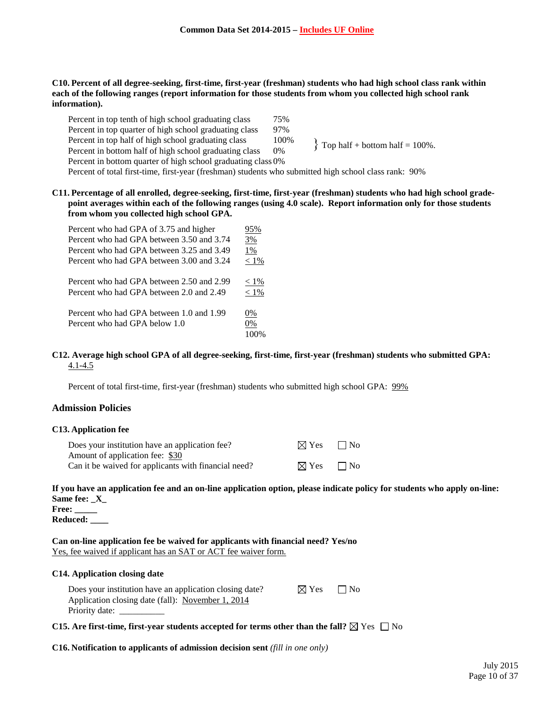**C10. Percent of all degree-seeking, first-time, first-year (freshman) students who had high school class rank within each of the following ranges (report information for those students from whom you collected high school rank information).**

| Percent in top tenth of high school graduating class                                                  | 75%   |                                     |
|-------------------------------------------------------------------------------------------------------|-------|-------------------------------------|
| Percent in top quarter of high school graduating class                                                | 97%   |                                     |
| Percent in top half of high school graduating class                                                   | 100%  | $\{$ Top half + bottom half = 100%. |
| Percent in bottom half of high school graduating class                                                | $0\%$ |                                     |
| Percent in bottom quarter of high school graduating class 0%                                          |       |                                     |
| Percent of total first-time, first-year (freshman) students who submitted high school class rank: 90% |       |                                     |
|                                                                                                       |       |                                     |

**C11. Percentage of all enrolled, degree-seeking, first-time, first-year (freshman) students who had high school gradepoint averages within each of the following ranges (using 4.0 scale). Report information only for those students from whom you collected high school GPA.**

| Percent who had GPA of 3.75 and higher    | 95%     |
|-------------------------------------------|---------|
| Percent who had GPA between 3.50 and 3.74 | 3%      |
| Percent who had GPA between 3.25 and 3.49 | 1%      |
| Percent who had GPA between 3.00 and 3.24 | $< 1\%$ |
| Percent who had GPA between 2.50 and 2.99 | $< 1\%$ |
| Percent who had GPA between 2.0 and 2.49  | $< 1\%$ |
| Percent who had GPA between 1.0 and 1.99  | 0%      |
| Percent who had GPA below 1.0             | 0%      |
|                                           | 100%    |

#### **C12. Average high school GPA of all degree-seeking, first-time, first-year (freshman) students who submitted GPA:** 4.1-4.5

Percent of total first-time, first-year (freshman) students who submitted high school GPA: 99%

#### **Admission Policies**

#### **C13. Application fee**

| Does your institution have an application fee?       | $\boxtimes$ Yes | $\Box$ No |
|------------------------------------------------------|-----------------|-----------|
| Amount of application fee: \$30                      |                 |           |
| Can it be waived for applicants with financial need? | $\boxtimes$ Yes | $\Box$ No |

**If you have an application fee and an on-line application option, please indicate policy for students who apply on-line: Same fee: \_X\_**

**Free: \_\_\_\_\_ Reduced: \_\_\_\_**

**Can on-line application fee be waived for applicants with financial need? Yes/no** Yes, fee waived if applicant has an SAT or ACT fee waiver form.

#### **C14. Application closing date**

Does your institution have an application closing date?  $\boxtimes$  Yes  $\Box$  No Application closing date (fall): November 1, 2014 Priority date:

**C15.** Are first-time, first-year students accepted for terms other than the fall?  $\boxtimes$  Yes  $\Box$  No

**C16. Notification to applicants of admission decision sent** *(fill in one only)*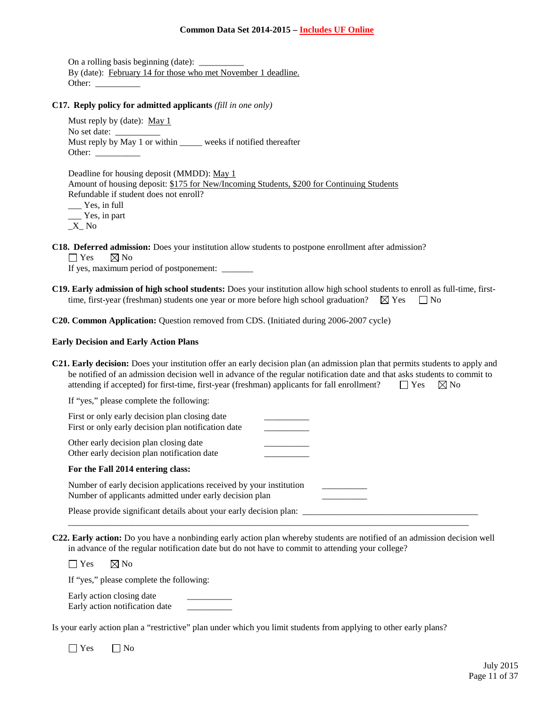#### **Common Data Set 2014-2015 – Includes UF Online**

On a rolling basis beginning (date):  $\frac{ }{ }$ By (date): February 14 for those who met November 1 deadline. Other:

# **C17. Reply policy for admitted applicants** *(fill in one only)*

Must reply by (date): May 1 No set date: Must reply by May 1 or within \_\_\_\_\_\_ weeks if notified thereafter Other:

Deadline for housing deposit (MMDD): May 1 Amount of housing deposit: \$175 for New/Incoming Students, \$200 for Continuing Students Refundable if student does not enroll? \_\_\_ Yes, in full

\_\_\_ Yes, in part \_X\_ No

**C18. Deferred admission:** Does your institution allow students to postpone enrollment after admission?

 $\Box$  Yes  $\boxtimes$  No

If yes, maximum period of postponement: \_\_\_\_\_\_\_

**C19. Early admission of high school students:** Does your institution allow high school students to enroll as full-time, firsttime, first-year (freshman) students one year or more before high school graduation?  $\boxtimes$  Yes  $\Box$  No

**C20. Common Application:** Question removed from CDS. (Initiated during 2006-2007 cycle)

#### **Early Decision and Early Action Plans**

| C21. Early decision: Does your institution offer an early decision plan (an admission plan that permits students to apply and |                      |  |
|-------------------------------------------------------------------------------------------------------------------------------|----------------------|--|
| be notified of an admission decision well in advance of the regular notification date and that asks students to commit to     |                      |  |
| attending if accepted) for first-time, first-year (freshman) applicants for fall enrollment?                                  | $\Box$ Yes $\Box$ No |  |

If "yes," please complete the following:

| First or only early decision plan closing date<br>First or only early decision plan notification date                         |  |
|-------------------------------------------------------------------------------------------------------------------------------|--|
| Other early decision plan closing date<br>Other early decision plan notification date                                         |  |
| For the Fall 2014 entering class:                                                                                             |  |
| Number of early decision applications received by your institution<br>Number of applicants admitted under early decision plan |  |
| Please provide significant details about your early decision plan:                                                            |  |

**C22. Early action:** Do you have a nonbinding early action plan whereby students are notified of an admission decision well in advance of the regular notification date but do not have to commit to attending your college?

\_\_\_\_\_\_\_\_\_\_\_\_\_\_\_\_\_\_\_\_\_\_\_\_\_\_\_\_\_\_\_\_\_\_\_\_\_\_\_\_\_\_\_\_\_\_\_\_\_\_\_\_\_\_\_\_\_\_\_\_\_\_\_\_\_\_\_\_\_\_\_\_\_\_\_\_\_\_\_\_\_\_\_\_\_\_\_\_\_

 $\Box$  Yes  $\boxtimes$  No

If "yes," please complete the following:

Early action closing date Early action notification date \_\_\_\_\_\_\_\_\_\_

Is your early action plan a "restrictive" plan under which you limit students from applying to other early plans?

 $\Box$  Yes  $\Box$  No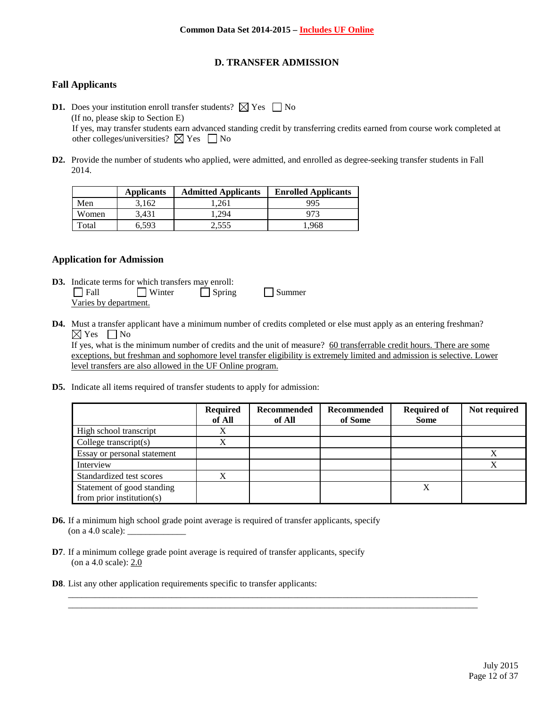# **D. TRANSFER ADMISSION**

## **Fall Applicants**

- **D1.** Does your institution enroll transfer students?  $\boxtimes$  Yes  $\Box$  No (If no, please skip to Section E) If yes, may transfer students earn advanced standing credit by transferring credits earned from course work completed at other colleges/universities?  $\boxtimes$  Yes  $\Box$  No
- **D2.** Provide the number of students who applied, were admitted, and enrolled as degree-seeking transfer students in Fall 2014.

|       | <b>Applicants</b> | <b>Admitted Applicants</b> | <b>Enrolled Applicants</b> |
|-------|-------------------|----------------------------|----------------------------|
| Men   | 3,162             | .261                       | 995                        |
| Women | 3.431             | .294                       |                            |
| Total | 6.593             | 2.555                      | .968                       |

#### **Application for Admission**

- **D3.** Indicate terms for which transfers may enroll:<br> $\Box$  Fall  $\Box$  Winter  $\Box$  Spring  $\Box$  Winter  $\Box$  Spring  $\Box$  Summer Varies by department.
- **D4.** Must a transfer applicant have a minimum number of credits completed or else must apply as an entering freshman?  $\boxtimes$  Yes  $\Box$  No

If yes, what is the minimum number of credits and the unit of measure? 60 transferrable credit hours. There are some exceptions, but freshman and sophomore level transfer eligibility is extremely limited and admission is selective. Lower level transfers are also allowed in the UF Online program.

**D5.** Indicate all items required of transfer students to apply for admission:

|                               | <b>Required</b><br>of All | Recommended<br>of All | Recommended<br>of Some | <b>Required of</b><br><b>Some</b> | Not required |
|-------------------------------|---------------------------|-----------------------|------------------------|-----------------------------------|--------------|
| High school transcript        | X                         |                       |                        |                                   |              |
| College transcript $(s)$      | X                         |                       |                        |                                   |              |
| Essay or personal statement   |                           |                       |                        |                                   |              |
| Interview                     |                           |                       |                        |                                   |              |
| Standardized test scores      | X                         |                       |                        |                                   |              |
| Statement of good standing    |                           |                       |                        | X                                 |              |
| from prior institution( $s$ ) |                           |                       |                        |                                   |              |

\_\_\_\_\_\_\_\_\_\_\_\_\_\_\_\_\_\_\_\_\_\_\_\_\_\_\_\_\_\_\_\_\_\_\_\_\_\_\_\_\_\_\_\_\_\_\_\_\_\_\_\_\_\_\_\_\_\_\_\_\_\_\_\_\_\_\_\_\_\_\_\_\_\_\_\_\_\_\_\_\_\_\_\_\_\_\_\_\_\_\_ \_\_\_\_\_\_\_\_\_\_\_\_\_\_\_\_\_\_\_\_\_\_\_\_\_\_\_\_\_\_\_\_\_\_\_\_\_\_\_\_\_\_\_\_\_\_\_\_\_\_\_\_\_\_\_\_\_\_\_\_\_\_\_\_\_\_\_\_\_\_\_\_\_\_\_\_\_\_\_\_\_\_\_\_\_\_\_\_\_\_\_

- **D6.** If a minimum high school grade point average is required of transfer applicants, specify (on a 4.0 scale): \_\_\_\_\_\_\_\_\_\_\_\_\_
- **D7**. If a minimum college grade point average is required of transfer applicants, specify (on a 4.0 scale): 2.0
- **D8**. List any other application requirements specific to transfer applicants: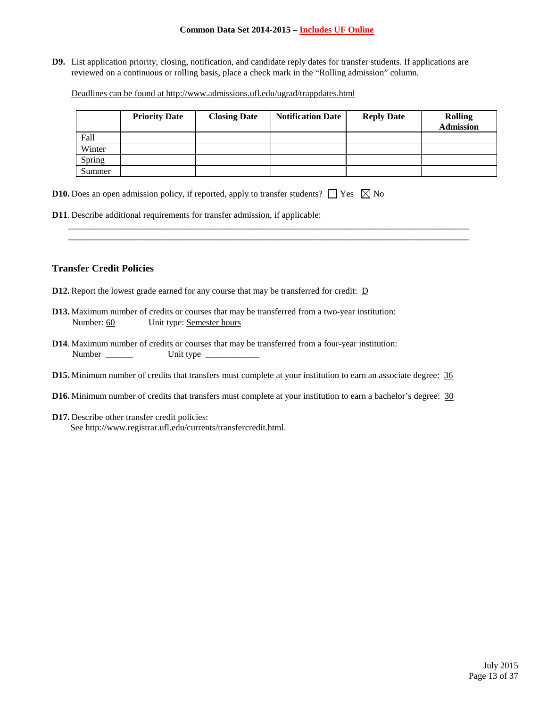#### **Common Data Set 2014-2015 – Includes UF Online**

**D9.** List application priority, closing, notification, and candidate reply dates for transfer students. If applications are reviewed on a continuous or rolling basis, place a check mark in the "Rolling admission" column.

Deadlines can be found at<http://www.admissions.ufl.edu/ugrad/trappdates.html>

|        | <b>Priority Date</b> | <b>Closing Date</b> | <b>Notification Date</b> | <b>Reply Date</b> | <b>Rolling</b><br><b>Admission</b> |
|--------|----------------------|---------------------|--------------------------|-------------------|------------------------------------|
| Fall   |                      |                     |                          |                   |                                    |
| Winter |                      |                     |                          |                   |                                    |
| Spring |                      |                     |                          |                   |                                    |
| Summer |                      |                     |                          |                   |                                    |

\_\_\_\_\_\_\_\_\_\_\_\_\_\_\_\_\_\_\_\_\_\_\_\_\_\_\_\_\_\_\_\_\_\_\_\_\_\_\_\_\_\_\_\_\_\_\_\_\_\_\_\_\_\_\_\_\_\_\_\_\_\_\_\_\_\_\_\_\_\_\_\_\_\_\_\_\_\_\_\_\_\_\_\_\_\_\_\_\_ \_\_\_\_\_\_\_\_\_\_\_\_\_\_\_\_\_\_\_\_\_\_\_\_\_\_\_\_\_\_\_\_\_\_\_\_\_\_\_\_\_\_\_\_\_\_\_\_\_\_\_\_\_\_\_\_\_\_\_\_\_\_\_\_\_\_\_\_\_\_\_\_\_\_\_\_\_\_\_\_\_\_\_\_\_\_\_\_\_

| <b>D10.</b> Does an open admission policy, if reported, apply to transfer students? $\Box$ Yes $\boxtimes$ No |  |  |  |  |  |
|---------------------------------------------------------------------------------------------------------------|--|--|--|--|--|
|---------------------------------------------------------------------------------------------------------------|--|--|--|--|--|

**D11**. Describe additional requirements for transfer admission, if applicable:

#### **Transfer Credit Policies**

- **D12.** Report the lowest grade earned for any course that may be transferred for credit:  $D$
- **D13.** Maximum number of credits or courses that may be transferred from a two-year institution: Number: 60 Unit type: Semester hours
- **D14**. Maximum number of credits or courses that may be transferred from a four-year institution: Number \_\_\_\_\_\_ Unit type \_\_\_\_\_\_\_\_\_\_\_\_
- **D15.** Minimum number of credits that transfers must complete at your institution to earn an associate degree:  $\frac{36}{9}$
- **D16.** Minimum number of credits that transfers must complete at your institution to earn a bachelor's degree: 30
- **D17.** Describe other transfer credit policies: Se[e http://www.registrar.ufl.edu/currents/transfercredit.html.](http://www.registrar.ufl.edu/currents/transfercredit.html)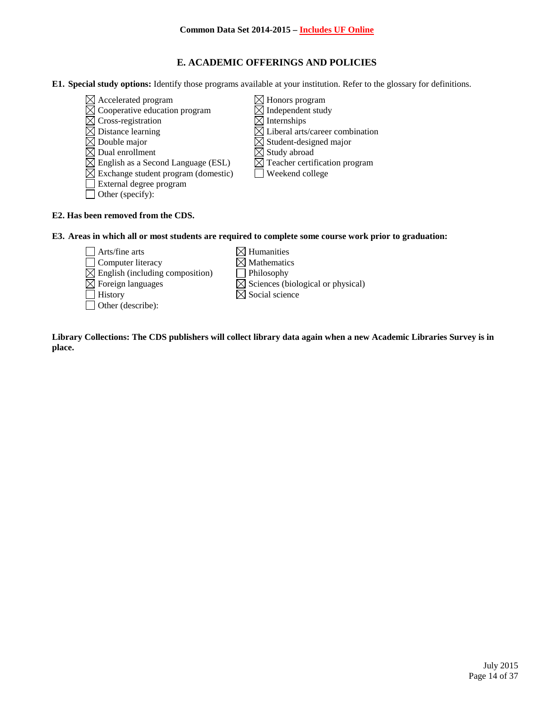# **E. ACADEMIC OFFERINGS AND POLICIES**

- **E1. Special study options:** Identify those programs available at your institution. Refer to the glossary for definitions.
	- $\boxtimes$  Accelerated program  $\boxtimes$  Honors program
	- $\overline{\boxtimes}$  Cooperative education program  $\overline{\boxtimes}$  Independent study
	-
	- $\boxtimes$  Cross-registration  $\boxtimes$  Internships<br> $\boxtimes$  Distance learning  $\boxtimes$  Liberal arts.
	-
	- $\boxtimes$  Double major<br>  $\boxtimes$  Dual enrollment<br>  $\boxtimes$  Study abroad<br>  $\boxtimes$  Study abroad
	- $\boxtimes$  English as a Second Language (ESL)
	- $\boxtimes$  Exchange student program (domestic)  $\Box$  Weekend college
	- External degree program
	- Other (specify):
- 
- 
- $\boxtimes$  Liberal arts/career combination
- 
- 
- $\overline{\boxtimes}$  Study abroad<br> $\overline{\boxtimes}$  Teacher certification program
- 

# **E2. Has been removed from the CDS.**

#### **E3. Areas in which all or most students are required to complete some course work prior to graduation:**

- $\Box$  Arts/fine arts  $\boxtimes$  Humanities  $\Box$  Computer literacy  $\boxtimes$  Mathematics  $\boxtimes$  English (including composition) Philosophy  $\boxtimes$  Foreign languages  $\boxtimes$  Sciences (biological or physical)<br>  $\boxtimes$  Social science Other (describe):
	-
	-

 $\boxtimes$  Social science

**Library Collections: The CDS publishers will collect library data again when a new Academic Libraries Survey is in place.**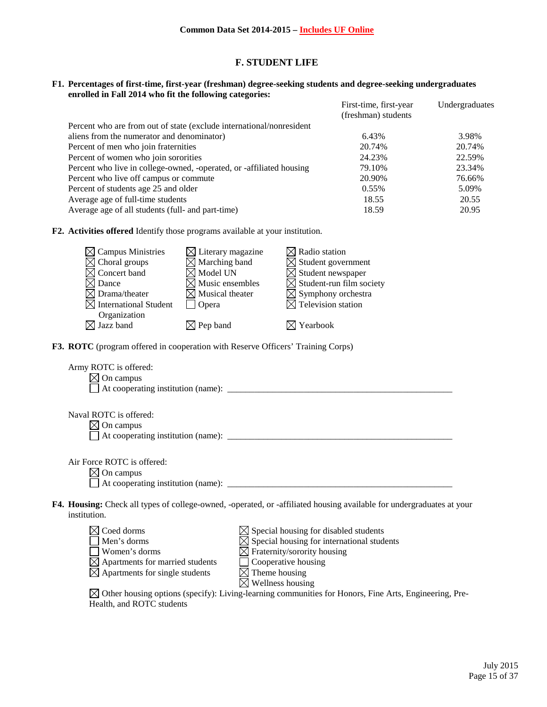## **F. STUDENT LIFE**

#### **F1. Percentages of first-time, first-year (freshman) degree-seeking students and degree-seeking undergraduates enrolled in Fall 2014 who fit the following categories:**

|                                                                      | First-time, first-year<br>(freshman) students | Undergraduates |
|----------------------------------------------------------------------|-----------------------------------------------|----------------|
| Percent who are from out of state (exclude international/nonresident |                                               |                |
| aliens from the numerator and denominator)                           | 6.43%                                         | 3.98%          |
| Percent of men who join fraternities                                 | 20.74%                                        | 20.74%         |
| Percent of women who join sororities                                 | 24.23%                                        | 22.59%         |
| Percent who live in college-owned, -operated, or -affiliated housing | 79.10%                                        | 23.34%         |
| Percent who live off campus or commute                               | 20.90%                                        | 76.66%         |
| Percent of students age 25 and older                                 | 0.55%                                         | 5.09%          |
| Average age of full-time students                                    | 18.55                                         | 20.55          |
| Average age of all students (full- and part-time)                    | 18.59                                         | 20.95          |

**F2. Activities offered** Identify those programs available at your institution.

| $\boxtimes$ Campus Ministries     | $\boxtimes$ Literary magazine | $\boxtimes$ Radio station            |
|-----------------------------------|-------------------------------|--------------------------------------|
| $\boxtimes$ Choral groups         | $\times$ Marching band        | $\boxtimes$ Student government       |
| $\boxtimes$ Concert band          | $\boxtimes$ Model UN          | $\boxtimes$ Student newspaper        |
| $\boxtimes$ Dance                 | $\boxtimes$ Music ensembles   | $\boxtimes$ Student-run film society |
| $\boxtimes$ Drama/theater         | $\times$ Musical theater      | $\boxtimes$ Symphony orchestra       |
| $\boxtimes$ International Student | Opera                         | $\boxtimes$ Television station       |
| Organization                      |                               |                                      |
| $\boxtimes$ Jazz band             | $\boxtimes$ Pep band          | $\boxtimes$ Yearbook                 |

**F3. ROTC** (program offered in cooperation with Reserve Officers' Training Corps)

| Army ROTC is offered:<br>On campus<br>$\times$ l                                                                                     |                                                                                                                                                                                                |
|--------------------------------------------------------------------------------------------------------------------------------------|------------------------------------------------------------------------------------------------------------------------------------------------------------------------------------------------|
| Naval ROTC is offered:<br>$\times$ On campus                                                                                         |                                                                                                                                                                                                |
| Air Force ROTC is offered:<br>$\boxtimes$ On campus<br>At cooperating institution (name):                                            |                                                                                                                                                                                                |
| institution.                                                                                                                         | <b>F4. Housing:</b> Check all types of college-owned, -operated, or -affiliated housing available for undergraduates at your                                                                   |
| Coed dorms<br>Men's dorms<br>Women's dorms<br>$\boxtimes$ Apartments for married students<br>$\times$ Apartments for single students | $\boxtimes$ Special housing for disabled students<br>$\boxtimes$ Special housing for international students<br>$\boxtimes$ Fraternity/sorority housing<br>Cooperative housing<br>Theme housing |

 $\boxtimes$  Wellness housing  $\boxtimes$  Other housing options (specify): Living-learning communities for Honors, Fine Arts, Engineering, Pre-Health, and ROTC students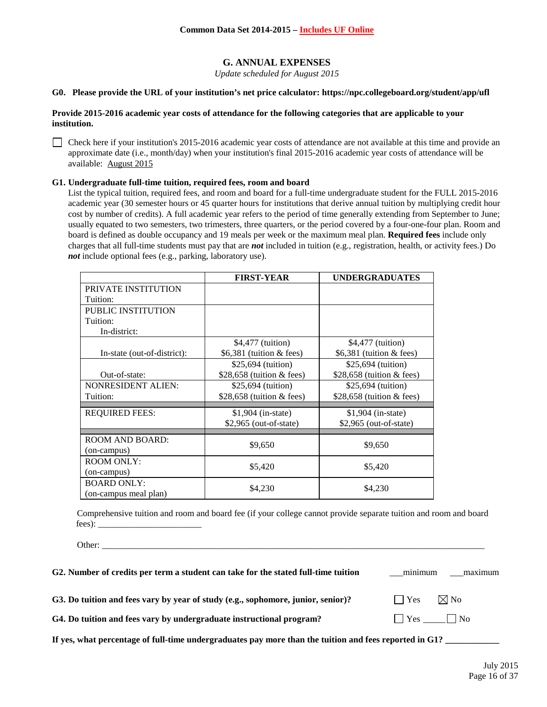# **G. ANNUAL EXPENSES**

*Update scheduled for August 2015*

#### **G0. Please provide the URL of your institution's net price calculator: https://npc.collegeboard.org/student/app/ufl**

#### **Provide 2015-2016 academic year costs of attendance for the following categories that are applicable to your institution.**

Check here if your institution's 2015-2016 academic year costs of attendance are not available at this time and provide an approximate date (i.e., month/day) when your institution's final 2015-2016 academic year costs of attendance will be available: August 2015

#### **G1. Undergraduate full-time tuition, required fees, room and board**

List the typical tuition, required fees, and room and board for a full-time undergraduate student for the FULL 2015-2016 academic year (30 semester hours or 45 quarter hours for institutions that derive annual tuition by multiplying credit hour cost by number of credits). A full academic year refers to the period of time generally extending from September to June; usually equated to two semesters, two trimesters, three quarters, or the period covered by a four-one-four plan. Room and board is defined as double occupancy and 19 meals per week or the maximum meal plan. **Required fees** include only charges that all full-time students must pay that are *not* included in tuition (e.g., registration, health, or activity fees.) Do *not* include optional fees (e.g., parking, laboratory use).

|                             | <b>FIRST-YEAR</b>           | <b>UNDERGRADUATES</b>       |
|-----------------------------|-----------------------------|-----------------------------|
| PRIVATE INSTITUTION         |                             |                             |
| Tuition:                    |                             |                             |
| <b>PUBLIC INSTITUTION</b>   |                             |                             |
| Tuition:                    |                             |                             |
| In-district:                |                             |                             |
|                             | \$4,477 (tuition)           | \$4,477 (tuition)           |
| In-state (out-of-district): | $$6,381$ (tuition & fees)   | $$6,381$ (tuition & fees)   |
|                             | \$25,694 (tuition)          | \$25,694 (tuition)          |
| Out-of-state:               | $$28,658$ (tuition & fees)  | \$28,658 (tuition $&$ fees) |
| <b>NONRESIDENT ALIEN:</b>   | \$25,694 (tuition)          | \$25,694 (tuition)          |
| Tuition:                    | \$28,658 (tuition $&$ fees) | \$28,658 (tuition $&$ fees) |
| <b>REQUIRED FEES:</b>       | $$1,904$ (in-state)         | $$1,904$ (in-state)         |
|                             | $$2,965$ (out-of-state)     | \$2,965 (out-of-state)      |
|                             |                             |                             |
| ROOM AND BOARD:             | \$9,650                     | \$9,650                     |
| (on-campus)                 |                             |                             |
| <b>ROOM ONLY:</b>           | \$5,420                     | \$5,420                     |
| (on-campus)                 |                             |                             |
| <b>BOARD ONLY:</b>          | \$4,230                     | \$4,230                     |
| (on-campus meal plan)       |                             |                             |

Comprehensive tuition and room and board fee (if your college cannot provide separate tuition and room and board fees): \_\_\_\_\_\_\_\_\_\_\_\_\_\_\_\_\_\_\_\_\_\_\_

Other: \_\_\_\_\_\_\_\_\_\_\_\_\_\_\_\_\_\_\_\_\_\_\_\_\_\_\_\_\_\_\_\_\_\_\_\_\_\_\_\_\_\_\_\_\_\_\_\_\_\_\_\_\_\_\_\_\_\_\_\_\_\_\_\_\_\_\_\_\_\_\_\_\_\_\_\_\_\_\_\_\_\_\_\_\_

| G2. Number of credits per term a student can take for the stated full-time tuition | maximum<br>minimum   |
|------------------------------------------------------------------------------------|----------------------|
| G3. Do tuition and fees vary by year of study (e.g., sophomore, junior, senior)?   | $\Box$ Yes $\Box$ No |
| G4. Do tuition and fees vary by undergraduate instructional program?               | Yes No               |
|                                                                                    |                      |

If yes, what percentage of full-time undergraduates pay more than the tuition and fees reported in G1?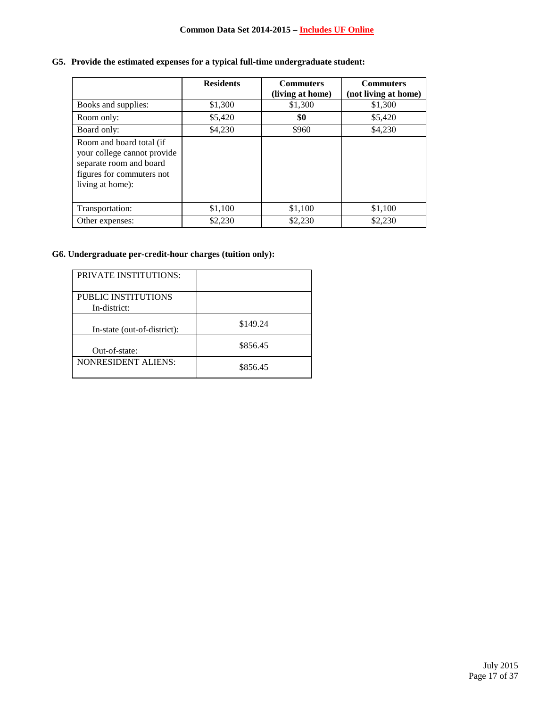# **G5. Provide the estimated expenses for a typical full-time undergraduate student:**

|                                                                                                                                     | <b>Residents</b> | <b>Commuters</b><br>(living at home) | <b>Commuters</b><br>(not living at home) |
|-------------------------------------------------------------------------------------------------------------------------------------|------------------|--------------------------------------|------------------------------------------|
| Books and supplies:                                                                                                                 | \$1,300          | \$1,300                              | \$1,300                                  |
| Room only:                                                                                                                          | \$5,420          | \$0                                  | \$5,420                                  |
| Board only:                                                                                                                         | \$4,230          | \$960                                | \$4,230                                  |
| Room and board total (if<br>your college cannot provide<br>separate room and board<br>figures for commuters not<br>living at home): |                  |                                      |                                          |
| Transportation:                                                                                                                     | \$1,100          | \$1,100                              | \$1,100                                  |
| Other expenses:                                                                                                                     | \$2,230          | \$2,230                              | \$2,230                                  |

# **G6. Undergraduate per-credit-hour charges (tuition only):**

| <b>PRIVATE INSTITUTIONS:</b>               |          |
|--------------------------------------------|----------|
| <b>PUBLIC INSTITUTIONS</b><br>In-district: |          |
| In-state (out-of-district):                | \$149.24 |
| Out-of-state:                              | \$856.45 |
| <b>NONRESIDENT ALIENS:</b>                 | \$856.45 |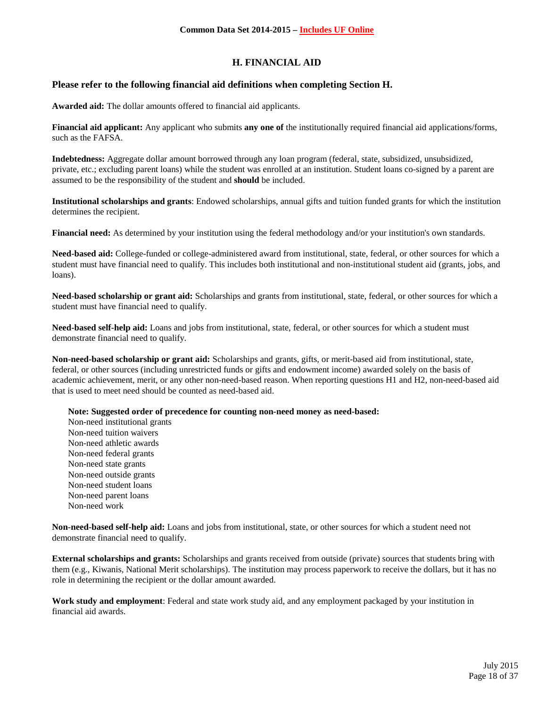# **H. FINANCIAL AID**

## **Please refer to the following financial aid definitions when completing Section H.**

**Awarded aid:** The dollar amounts offered to financial aid applicants.

**Financial aid applicant:** Any applicant who submits **any one of** the institutionally required financial aid applications/forms, such as the FAFSA.

**Indebtedness:** Aggregate dollar amount borrowed through any loan program (federal, state, subsidized, unsubsidized, private, etc.; excluding parent loans) while the student was enrolled at an institution. Student loans co-signed by a parent are assumed to be the responsibility of the student and **should** be included.

**Institutional scholarships and grants**: Endowed scholarships, annual gifts and tuition funded grants for which the institution determines the recipient.

**Financial need:** As determined by your institution using the federal methodology and/or your institution's own standards.

**Need-based aid:** College-funded or college-administered award from institutional, state, federal, or other sources for which a student must have financial need to qualify. This includes both institutional and non-institutional student aid (grants, jobs, and loans).

**Need-based scholarship or grant aid:** Scholarships and grants from institutional, state, federal, or other sources for which a student must have financial need to qualify.

**Need-based self-help aid:** Loans and jobs from institutional, state, federal, or other sources for which a student must demonstrate financial need to qualify.

**Non-need-based scholarship or grant aid:** Scholarships and grants, gifts, or merit-based aid from institutional, state, federal, or other sources (including unrestricted funds or gifts and endowment income) awarded solely on the basis of academic achievement, merit, or any other non-need-based reason. When reporting questions H1 and H2, non-need-based aid that is used to meet need should be counted as need-based aid.

**Note: Suggested order of precedence for counting non-need money as need-based:**

Non-need institutional grants Non-need tuition waivers Non-need athletic awards Non-need federal grants Non-need state grants Non-need outside grants Non-need student loans Non-need parent loans Non-need work

**Non-need-based self-help aid:** Loans and jobs from institutional, state, or other sources for which a student need not demonstrate financial need to qualify.

**External scholarships and grants:** Scholarships and grants received from outside (private) sources that students bring with them (e.g., Kiwanis, National Merit scholarships). The institution may process paperwork to receive the dollars, but it has no role in determining the recipient or the dollar amount awarded.

**Work study and employment**: Federal and state work study aid, and any employment packaged by your institution in financial aid awards.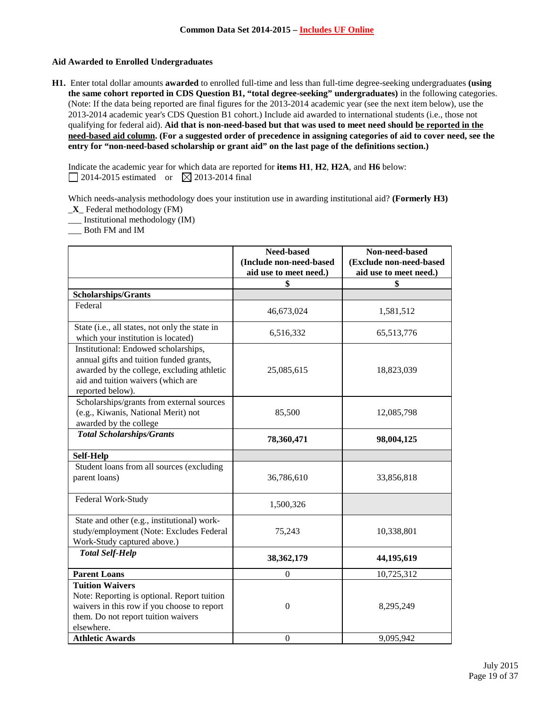### **Aid Awarded to Enrolled Undergraduates**

**H1.** Enter total dollar amounts **awarded** to enrolled full-time and less than full-time degree-seeking undergraduates **(using the same cohort reported in CDS Question B1, "total degree-seeking" undergraduates)** in the following categories. (Note: If the data being reported are final figures for the 2013-2014 academic year (see the next item below), use the 2013-2014 academic year's CDS Question B1 cohort.) Include aid awarded to international students (i.e., those not qualifying for federal aid). **Aid that is non-need-based but that was used to meet need should be reported in the need-based aid column. (For a suggested order of precedence in assigning categories of aid to cover need, see the entry for "non-need-based scholarship or grant aid" on the last page of the definitions section.)**

Indicate the academic year for which data are reported for **items H1**, **H2**, **H2A**, and **H6** below:  $\Box$  2014-2015 estimated or  $\boxtimes$  2013-2014 final

Which needs-analysis methodology does your institution use in awarding institutional aid? **(Formerly H3)** \_**X**\_ Federal methodology (FM)

\_\_\_ Institutional methodology (IM)

\_\_\_ Both FM and IM

|                                                                                                                                                                                         | Need-based<br>(Include non-need-based | Non-need-based<br>(Exclude non-need-based |
|-----------------------------------------------------------------------------------------------------------------------------------------------------------------------------------------|---------------------------------------|-------------------------------------------|
|                                                                                                                                                                                         | aid use to meet need.)                | aid use to meet need.)                    |
|                                                                                                                                                                                         | \$                                    | \$                                        |
| <b>Scholarships/Grants</b>                                                                                                                                                              |                                       |                                           |
| Federal                                                                                                                                                                                 | 46,673,024                            | 1,581,512                                 |
| State (i.e., all states, not only the state in<br>which your institution is located)                                                                                                    | 6,516,332                             | 65,513,776                                |
| Institutional: Endowed scholarships,<br>annual gifts and tuition funded grants,<br>awarded by the college, excluding athletic<br>aid and tuition waivers (which are<br>reported below). | 25,085,615                            | 18,823,039                                |
| Scholarships/grants from external sources<br>(e.g., Kiwanis, National Merit) not<br>awarded by the college                                                                              | 85,500                                | 12,085,798                                |
| <b>Total Scholarships/Grants</b>                                                                                                                                                        | 78,360,471                            | 98,004,125                                |
| <b>Self-Help</b>                                                                                                                                                                        |                                       |                                           |
| Student loans from all sources (excluding<br>parent loans)                                                                                                                              | 36,786,610                            | 33,856,818                                |
| Federal Work-Study                                                                                                                                                                      | 1,500,326                             |                                           |
| State and other (e.g., institutional) work-<br>study/employment (Note: Excludes Federal<br>Work-Study captured above.)                                                                  | 75,243                                | 10,338,801                                |
| <b>Total Self-Help</b>                                                                                                                                                                  | 38, 362, 179                          | 44,195,619                                |
| <b>Parent Loans</b>                                                                                                                                                                     | $\boldsymbol{0}$                      | 10,725,312                                |
| <b>Tuition Waivers</b><br>Note: Reporting is optional. Report tuition<br>waivers in this row if you choose to report<br>them. Do not report tuition waivers<br>elsewhere.               | $\boldsymbol{0}$                      | 8,295,249                                 |
| <b>Athletic Awards</b>                                                                                                                                                                  | $\boldsymbol{0}$                      | 9,095,942                                 |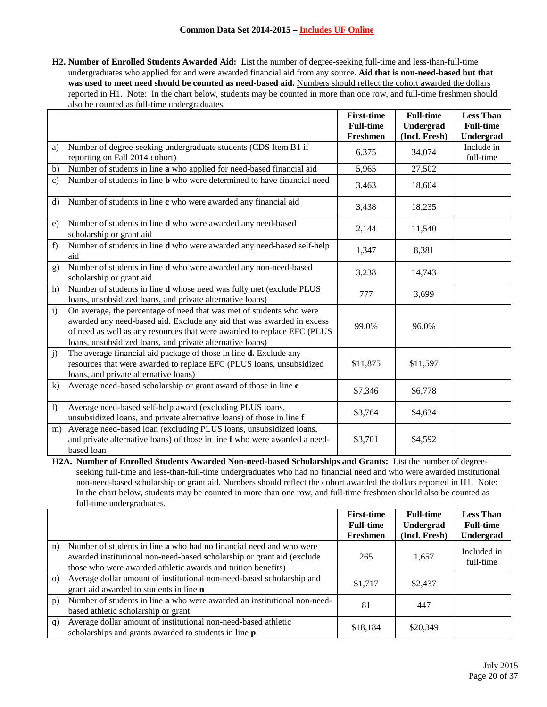**H2. Number of Enrolled Students Awarded Aid:** List the number of degree-seeking full-time and less-than-full-time undergraduates who applied for and were awarded financial aid from any source. **Aid that is non-need-based but that**  was used to meet need should be counted as need-based aid. Numbers should reflect the cohort awarded the dollars reported in H1. Note: In the chart below, students may be counted in more than one row, and full-time freshmen should also be counted as full-time undergraduates.

|                  |                                                                                                                                                                                                                                                                                        | <b>First-time</b> | <b>Full-time</b> | <b>Less Than</b>        |
|------------------|----------------------------------------------------------------------------------------------------------------------------------------------------------------------------------------------------------------------------------------------------------------------------------------|-------------------|------------------|-------------------------|
|                  |                                                                                                                                                                                                                                                                                        | <b>Full-time</b>  | Undergrad        | <b>Full-time</b>        |
|                  |                                                                                                                                                                                                                                                                                        | Freshmen          | (Incl. Fresh)    | Undergrad               |
| a)               | Number of degree-seeking undergraduate students (CDS Item B1 if<br>reporting on Fall 2014 cohort)                                                                                                                                                                                      | 6,375             | 34,074           | Include in<br>full-time |
| b)               | Number of students in line a who applied for need-based financial aid                                                                                                                                                                                                                  | 5,965             | 27,502           |                         |
| $\mathbf{c}$     | Number of students in line <b>b</b> who were determined to have financial need                                                                                                                                                                                                         | 3,463             | 18,604           |                         |
| $\mathbf{d}$     | Number of students in line c who were awarded any financial aid                                                                                                                                                                                                                        | 3,438             | 18,235           |                         |
| e)               | Number of students in line d who were awarded any need-based<br>scholarship or grant aid                                                                                                                                                                                               | 2,144             | 11,540           |                         |
| f)               | Number of students in line d who were awarded any need-based self-help<br>aid                                                                                                                                                                                                          | 1,347             | 8,381            |                         |
| g)               | Number of students in line d who were awarded any non-need-based<br>scholarship or grant aid                                                                                                                                                                                           | 3,238             | 14,743           |                         |
| h)               | Number of students in line d whose need was fully met (exclude PLUS<br>loans, unsubsidized loans, and private alternative loans)                                                                                                                                                       | 777               | 3,699            |                         |
| $\mathbf{i}$     | On average, the percentage of need that was met of students who were<br>awarded any need-based aid. Exclude any aid that was awarded in excess<br>of need as well as any resources that were awarded to replace EFC (PLUS<br>loans, unsubsidized loans, and private alternative loans) | 99.0%             | 96.0%            |                         |
| j)               | The average financial aid package of those in line d. Exclude any<br>resources that were awarded to replace EFC (PLUS loans, unsubsidized<br>loans, and private alternative loans)                                                                                                     | \$11,875          | \$11,597         |                         |
| $\bf k$          | Average need-based scholarship or grant award of those in line e                                                                                                                                                                                                                       | \$7,346           | \$6,778          |                         |
| $\left( \right)$ | Average need-based self-help award (excluding PLUS loans,<br>unsubsidized loans, and private alternative loans) of those in line f                                                                                                                                                     | \$3,764           | \$4,634          |                         |
| m)               | Average need-based loan (excluding PLUS loans, unsubsidized loans,<br>and private alternative loans) of those in line f who were awarded a need-<br>based loan                                                                                                                         | \$3,701           | \$4,592          |                         |

**H2A. Number of Enrolled Students Awarded Non-need-based Scholarships and Grants:** List the number of degreeseeking full-time and less-than-full-time undergraduates who had no financial need and who were awarded institutional non-need-based scholarship or grant aid. Numbers should reflect the cohort awarded the dollars reported in H1. Note: In the chart below, students may be counted in more than one row, and full-time freshmen should also be counted as full-time undergraduates.

|          |                                                                                                                                                                                                                      | <b>First-time</b><br><b>Full-time</b><br>Freshmen | <b>Full-time</b><br>Undergrad<br>(Incl. Fresh) | <b>Less Than</b><br><b>Full-time</b><br>Undergrad |
|----------|----------------------------------------------------------------------------------------------------------------------------------------------------------------------------------------------------------------------|---------------------------------------------------|------------------------------------------------|---------------------------------------------------|
| n)       | Number of students in line <b>a</b> who had no financial need and who were<br>awarded institutional non-need-based scholarship or grant aid (exclude<br>those who were awarded athletic awards and tuition benefits) | 265                                               | 1,657                                          | Included in<br>full-time                          |
| $\Omega$ | Average dollar amount of institutional non-need-based scholarship and<br>grant aid awarded to students in line n                                                                                                     | \$1,717                                           | \$2,437                                        |                                                   |
| p)       | Number of students in line a who were awarded an institutional non-need-<br>based athletic scholarship or grant                                                                                                      | 81                                                | 447                                            |                                                   |
| q)       | Average dollar amount of institutional non-need-based athletic<br>scholarships and grants awarded to students in line <b>p</b>                                                                                       | \$18,184                                          | \$20,349                                       |                                                   |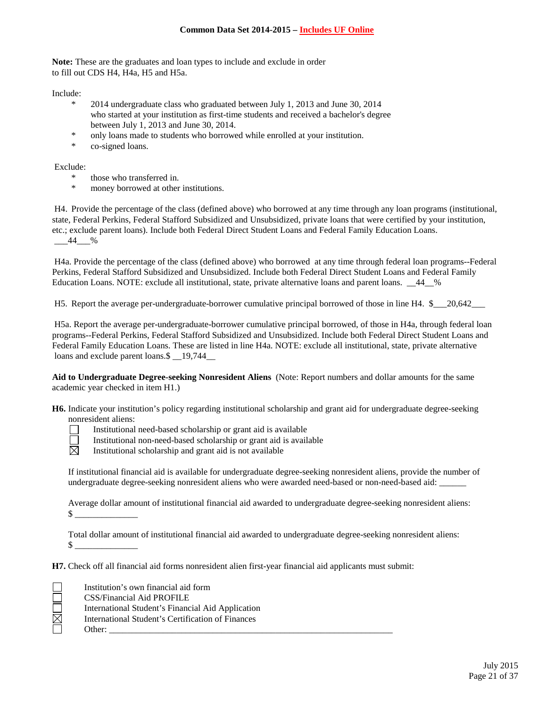**Note:** These are the graduates and loan types to include and exclude in order to fill out CDS H4, H4a, H5 and H5a.

Include:

- \* 2014 undergraduate class who graduated between July 1, 2013 and June 30, 2014 who started at your institution as first-time students and received a bachelor's degree between July 1, 2013 and June 30, 2014.
- \* only loans made to students who borrowed while enrolled at your institution.
- \* co-signed loans.

Exclude:

- \* those who transferred in.
- money borrowed at other institutions.

H4. Provide the percentage of the class (defined above) who borrowed at any time through any loan programs (institutional, state, Federal Perkins, Federal Stafford Subsidized and Unsubsidized, private loans that were certified by your institution, etc.; exclude parent loans). Include both Federal Direct Student Loans and Federal Family Education Loans.  $-44$   $\frac{\%}{\%}$ 

H4a. Provide the percentage of the class (defined above) who borrowed at any time through federal loan programs--Federal Perkins, Federal Stafford Subsidized and Unsubsidized. Include both Federal Direct Student Loans and Federal Family Education Loans. NOTE: exclude all institutional, state, private alternative loans and parent loans. \_\_44\_\_%

H5. Report the average per-undergraduate-borrower cumulative principal borrowed of those in line H4. \$ 20,642

H5a. Report the average per-undergraduate-borrower cumulative principal borrowed, of those in H4a, through federal loan programs--Federal Perkins, Federal Stafford Subsidized and Unsubsidized. Include both Federal Direct Student Loans and Federal Family Education Loans. These are listed in line H4a. NOTE: exclude all institutional, state, private alternative loans and exclude parent loans. \$  $19,744$ 

**Aid to Undergraduate Degree-seeking Nonresident Aliens** (Note: Report numbers and dollar amounts for the same academic year checked in item H1.)

**H6.** Indicate your institution's policy regarding institutional scholarship and grant aid for undergraduate degree-seeking nonresident aliens:



Institutional need-based scholarship or grant aid is available

Institutional non-need-based scholarship or grant aid is available

Institutional scholarship and grant aid is not available

If institutional financial aid is available for undergraduate degree-seeking nonresident aliens, provide the number of undergraduate degree-seeking nonresident aliens who were awarded need-based or non-need-based aid:

Average dollar amount of institutional financial aid awarded to undergraduate degree-seeking nonresident aliens:  $\frac{\text{S}}{\text{S}}$ 

Total dollar amount of institutional financial aid awarded to undergraduate degree-seeking nonresident aliens:  $\frac{1}{2}$ 

**H7.** Check off all financial aid forms nonresident alien first-year financial aid applicants must submit:

|   | Institution's own financial aid form              |
|---|---------------------------------------------------|
|   | CSS/Financial Aid PROFILE                         |
|   | International Student's Financial Aid Application |
| 図 | International Student's Certification of Finances |
|   | Other:                                            |
|   |                                                   |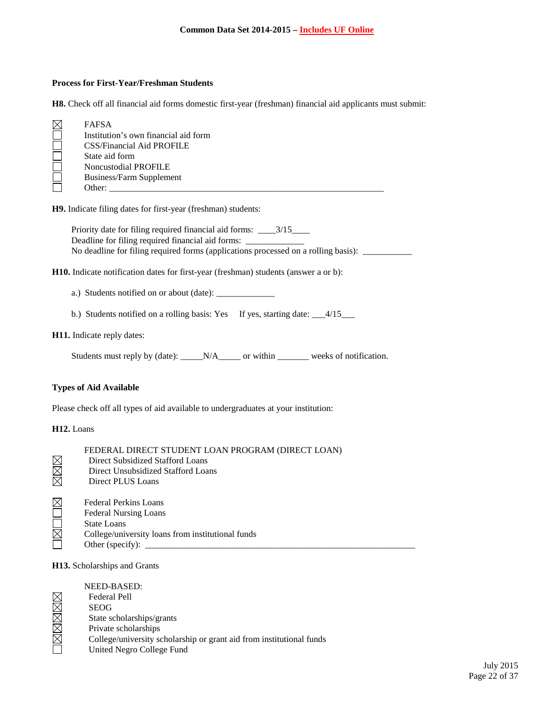#### **Process for First-Year/Freshman Students**

**H8.** Check off all financial aid forms domestic first-year (freshman) financial aid applicants must submit:

| <b>FAFSA</b>                         |
|--------------------------------------|
| Institution's own financial aid form |
| <b>CSS/Financial Aid PROFILE</b>     |
| State aid form                       |
| Noncustodial PROFILE                 |
| Business/Farm Supplement             |
| Other:                               |

**H9.** Indicate filing dates for first-year (freshman) students:

Priority date for filing required financial aid forms: \_\_\_\_3/15\_\_\_\_ Deadline for filing required financial aid forms: No deadline for filing required forms (applications processed on a rolling basis): \_\_\_\_\_\_\_\_\_\_\_

**H10.** Indicate notification dates for first-year (freshman) students (answer a or b):

a.) Students notified on or about (date): \_\_\_\_\_\_\_\_\_\_\_\_\_

b.) Students notified on a rolling basis: Yes If yes, starting date: \_\_\_4/15\_\_\_

#### **H11.** Indicate reply dates:

Students must reply by (date): \_\_\_\_\_N/A\_\_\_\_\_ or within \_\_\_\_\_\_\_ weeks of notification.

#### **Types of Aid Available**

Please check off all types of aid available to undergraduates at your institution:

#### **H12.** Loans

|                     | FEDERAL DIRECT STUDENT LOAN PROGRAM (DIRECT LOAN)                                                                                       |
|---------------------|-----------------------------------------------------------------------------------------------------------------------------------------|
|                     | Direct Subsidized Stafford Loans                                                                                                        |
| $\boxtimes$         | Direct Unsubsidized Stafford Loans                                                                                                      |
| $\overline{\nabla}$ | Direct PLUS Loans                                                                                                                       |
|                     | <b>Federal Perkins Loans</b><br><b>Federal Nursing Loans</b><br><b>State Loans</b><br>College/university loans from institutional funds |
|                     | Other (specify):                                                                                                                        |

#### **H13.** Scholarships and Grants

| NEED-BASED:                                                          |
|----------------------------------------------------------------------|
| <b>Federal Pell</b>                                                  |
| <b>SEOG</b>                                                          |
| State scholarships/grants                                            |
| Private scholarships                                                 |
| College/university scholarship or grant aid from institutional funds |
| United Negro College Fund                                            |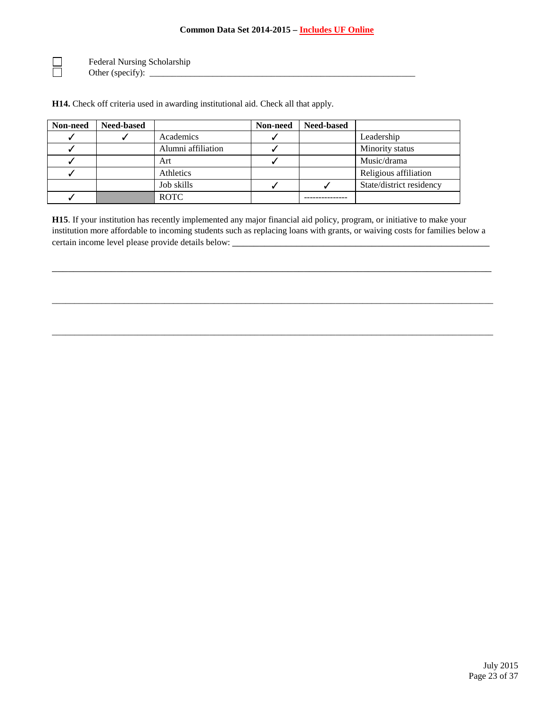Federal Nursing Scholarship Other (specify): \_\_\_\_\_\_\_\_\_\_\_\_\_\_\_\_\_\_\_\_\_\_\_\_\_\_\_\_\_\_\_\_\_\_\_\_\_\_\_\_\_\_\_\_\_\_\_\_\_\_\_\_\_\_\_\_\_\_\_

 $\begin{array}{ccc} \hline \hline \hline \hline \hline \end{array}$ 

**H14.** Check off criteria used in awarding institutional aid. Check all that apply.

| Non-need | <b>Need-based</b> |                    | Non-need | <b>Need-based</b> |                          |
|----------|-------------------|--------------------|----------|-------------------|--------------------------|
|          |                   | Academics          |          |                   | Leadership               |
|          |                   | Alumni affiliation |          |                   | Minority status          |
|          |                   | Art                |          |                   | Music/drama              |
|          |                   | Athletics          |          |                   | Religious affiliation    |
|          |                   | Job skills         |          |                   | State/district residency |
|          |                   | <b>ROTC</b>        |          |                   |                          |

**H15**. If your institution has recently implemented any major financial aid policy, program, or initiative to make your institution more affordable to incoming students such as replacing loans with grants, or waiving costs for families below a certain income level please provide details below: \_\_\_\_\_\_\_\_\_\_\_\_\_\_\_\_\_\_\_\_\_\_\_\_\_\_\_\_\_

\_\_\_\_\_\_\_\_\_\_\_\_\_\_\_\_\_\_\_\_\_\_\_\_\_\_\_\_\_\_\_\_\_\_\_\_\_\_\_\_\_\_\_\_\_\_\_\_\_\_\_\_\_\_\_\_\_\_\_\_\_\_\_\_\_\_\_\_\_\_\_\_\_\_\_\_\_\_\_\_\_\_

\_\_\_\_\_\_\_\_\_\_\_\_\_\_\_\_\_\_\_\_\_\_\_\_\_\_\_\_\_\_\_\_\_\_\_\_\_\_\_\_\_\_\_\_\_\_\_\_\_\_\_\_\_\_\_\_\_\_\_\_\_\_\_\_\_\_\_\_\_\_\_\_\_\_\_\_\_\_\_\_\_\_\_\_\_\_\_\_\_\_\_\_\_\_\_\_\_\_

\_\_\_\_\_\_\_\_\_\_\_\_\_\_\_\_\_\_\_\_\_\_\_\_\_\_\_\_\_\_\_\_\_\_\_\_\_\_\_\_\_\_\_\_\_\_\_\_\_\_\_\_\_\_\_\_\_\_\_\_\_\_\_\_\_\_\_\_\_\_\_\_\_\_\_\_\_\_\_\_\_\_\_\_\_\_\_\_\_\_\_\_\_\_\_\_\_\_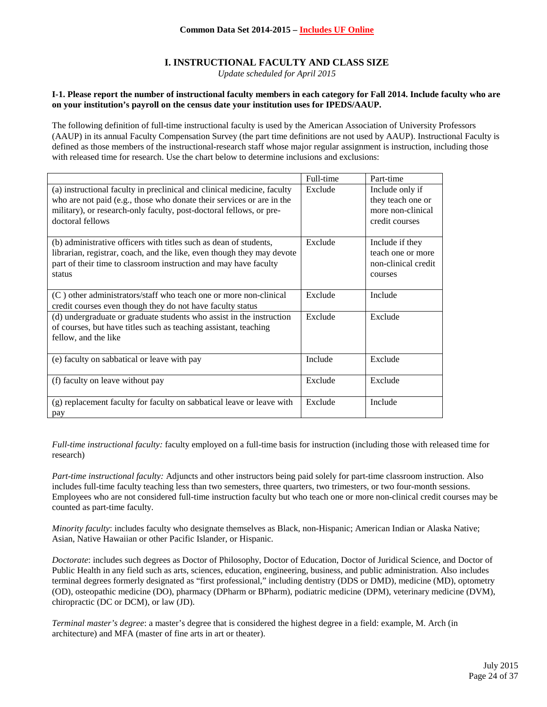# **I. INSTRUCTIONAL FACULTY AND CLASS SIZE**

*Update scheduled for April 2015*

#### **I-1. Please report the number of instructional faculty members in each category for Fall 2014. Include faculty who are on your institution's payroll on the census date your institution uses for IPEDS/AAUP.**

The following definition of full-time instructional faculty is used by the American Association of University Professors (AAUP) in its annual Faculty Compensation Survey (the part time definitions are not used by AAUP). Instructional Faculty is defined as those members of the instructional-research staff whose major regular assignment is instruction, including those with released time for research. Use the chart below to determine inclusions and exclusions:

|                                                                                                                                                                                                                                             | Full-time | Part-time                                                                   |
|---------------------------------------------------------------------------------------------------------------------------------------------------------------------------------------------------------------------------------------------|-----------|-----------------------------------------------------------------------------|
| (a) instructional faculty in preclinical and clinical medicine, faculty<br>who are not paid (e.g., those who donate their services or are in the<br>military), or research-only faculty, post-doctoral fellows, or pre-<br>doctoral fellows | Exclude   | Include only if<br>they teach one or<br>more non-clinical<br>credit courses |
| (b) administrative officers with titles such as dean of students,<br>librarian, registrar, coach, and the like, even though they may devote<br>part of their time to classroom instruction and may have faculty<br>status                   | Exclude   | Include if they<br>teach one or more<br>non-clinical credit<br>courses      |
| (C) other administrators/staff who teach one or more non-clinical<br>credit courses even though they do not have faculty status                                                                                                             | Exclude   | Include                                                                     |
| (d) undergraduate or graduate students who assist in the instruction<br>of courses, but have titles such as teaching assistant, teaching<br>fellow, and the like                                                                            | Exclude   | Exclude                                                                     |
| (e) faculty on sabbatical or leave with pay                                                                                                                                                                                                 | Include   | Exclude                                                                     |
| (f) faculty on leave without pay                                                                                                                                                                                                            | Exclude   | Exclude                                                                     |
| (g) replacement faculty for faculty on sabbatical leave or leave with<br>pay                                                                                                                                                                | Exclude   | Include                                                                     |

*Full-time instructional faculty:* faculty employed on a full-time basis for instruction (including those with released time for research)

*Part-time instructional faculty:* Adjuncts and other instructors being paid solely for part-time classroom instruction. Also includes full-time faculty teaching less than two semesters, three quarters, two trimesters, or two four-month sessions. Employees who are not considered full-time instruction faculty but who teach one or more non-clinical credit courses may be counted as part-time faculty.

*Minority faculty*: includes faculty who designate themselves as Black, non-Hispanic; American Indian or Alaska Native; Asian, Native Hawaiian or other Pacific Islander, or Hispanic.

*Doctorate*: includes such degrees as Doctor of Philosophy, Doctor of Education, Doctor of Juridical Science, and Doctor of Public Health in any field such as arts, sciences, education, engineering, business, and public administration. Also includes terminal degrees formerly designated as "first professional," including dentistry (DDS or DMD), medicine (MD), optometry (OD), osteopathic medicine (DO), pharmacy (DPharm or BPharm), podiatric medicine (DPM), veterinary medicine (DVM), chiropractic (DC or DCM), or law (JD).

*Terminal master's degree*: a master's degree that is considered the highest degree in a field: example, M. Arch (in architecture) and MFA (master of fine arts in art or theater).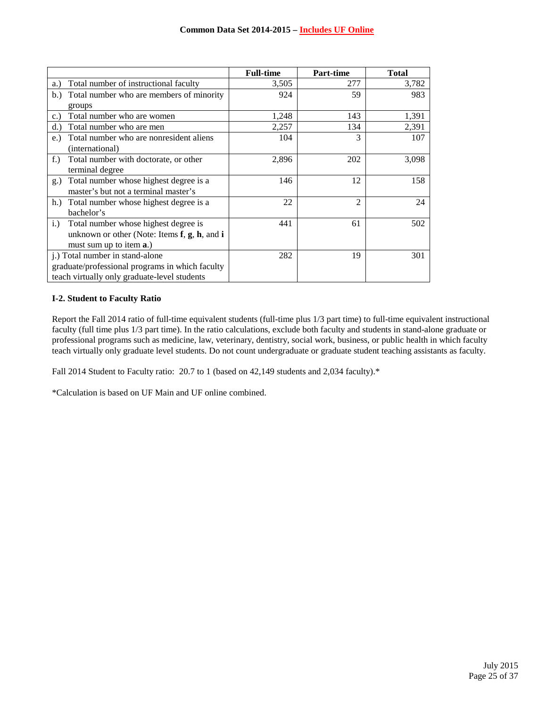|                                                         | <b>Full-time</b> | <b>Part-time</b> | <b>Total</b> |
|---------------------------------------------------------|------------------|------------------|--------------|
| Total number of instructional faculty<br>a.)            | 3,505            | 277              | 3,782        |
| Total number who are members of minority<br>b.          | 924              | 59               | 983          |
| groups                                                  |                  |                  |              |
| Total number who are women<br>c.                        | 1,248            | 143              | 1,391        |
| Total number who are men<br>(d.)                        | 2,257            | 134              | 2,391        |
| Total number who are nonresident aliens<br>e.)          | 104              | 3                | 107          |
| (international)                                         |                  |                  |              |
| Total number with doctorate, or other<br>$f$ .)         | 2,896            | 202              | 3,098        |
| terminal degree                                         |                  |                  |              |
| Total number whose highest degree is a<br>$g$ .)        | 146              | 12               | 158          |
| master's but not a terminal master's                    |                  |                  |              |
| Total number whose highest degree is a<br>h.            | 22               | $\mathfrak{D}$   | 24           |
| bachelor's                                              |                  |                  |              |
| Total number whose highest degree is<br>$i$ .           | 441              | 61               | 502          |
| unknown or other (Note: Items $f$ , $g$ , $h$ , and $i$ |                  |                  |              |
| must sum up to item <b>a</b> .)                         |                  |                  |              |
| j.) Total number in stand-alone                         | 282              | 19               | 301          |
| graduate/professional programs in which faculty         |                  |                  |              |
| teach virtually only graduate-level students            |                  |                  |              |

#### **I-2. Student to Faculty Ratio**

Report the Fall 2014 ratio of full-time equivalent students (full-time plus 1/3 part time) to full-time equivalent instructional faculty (full time plus 1/3 part time). In the ratio calculations, exclude both faculty and students in stand-alone graduate or professional programs such as medicine, law, veterinary, dentistry, social work, business, or public health in which faculty teach virtually only graduate level students. Do not count undergraduate or graduate student teaching assistants as faculty.

Fall 2014 Student to Faculty ratio: 20.7 to 1 (based on 42,149 students and 2,034 faculty).\*

\*Calculation is based on UF Main and UF online combined.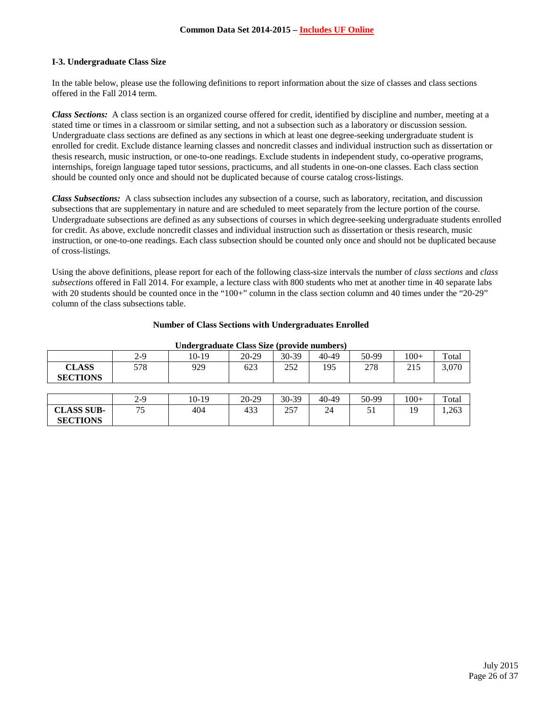## **I-3. Undergraduate Class Size**

In the table below, please use the following definitions to report information about the size of classes and class sections offered in the Fall 2014 term.

*Class Sections:* A class section is an organized course offered for credit, identified by discipline and number, meeting at a stated time or times in a classroom or similar setting, and not a subsection such as a laboratory or discussion session. Undergraduate class sections are defined as any sections in which at least one degree-seeking undergraduate student is enrolled for credit. Exclude distance learning classes and noncredit classes and individual instruction such as dissertation or thesis research, music instruction, or one-to-one readings. Exclude students in independent study, co-operative programs, internships, foreign language taped tutor sessions, practicums, and all students in one-on-one classes. Each class section should be counted only once and should not be duplicated because of course catalog cross-listings.

*Class Subsections:* A class subsection includes any subsection of a course, such as laboratory, recitation, and discussion subsections that are supplementary in nature and are scheduled to meet separately from the lecture portion of the course. Undergraduate subsections are defined as any subsections of courses in which degree-seeking undergraduate students enrolled for credit. As above, exclude noncredit classes and individual instruction such as dissertation or thesis research, music instruction, or one-to-one readings. Each class subsection should be counted only once and should not be duplicated because of cross-listings.

Using the above definitions, please report for each of the following class-size intervals the number of *class sections* and *class subsections* offered in Fall 2014. For example, a lecture class with 800 students who met at another time in 40 separate labs with 20 students should be counted once in the "100+" column in the class section column and 40 times under the "20-29" column of the class subsections table.

|  |  |  | <b>Number of Class Sections with Undergraduates Enrolled</b> |  |
|--|--|--|--------------------------------------------------------------|--|
|  |  |  |                                                              |  |

|                   | $2-9$ | $\overline{ }$<br>10-19 | $20-29$ | 30-39 | 40-49 | 50-99 | $100+$ | Total |
|-------------------|-------|-------------------------|---------|-------|-------|-------|--------|-------|
| <b>CLASS</b>      | 578   | 929                     | 623     | 252   | 195   | 278   | 215    | 3,070 |
| <b>SECTIONS</b>   |       |                         |         |       |       |       |        |       |
|                   |       |                         |         |       |       |       |        |       |
|                   | $2-9$ | 10-19                   | $20-29$ | 30-39 | 40-49 | 50-99 | $100+$ | Total |
| <b>CLASS SUB-</b> | 75    | 404                     | 433     | 257   | 24    | 51    | 19     | .,263 |
| <b>SECTIONS</b>   |       |                         |         |       |       |       |        |       |

#### **Undergraduate Class Size (provide numbers)**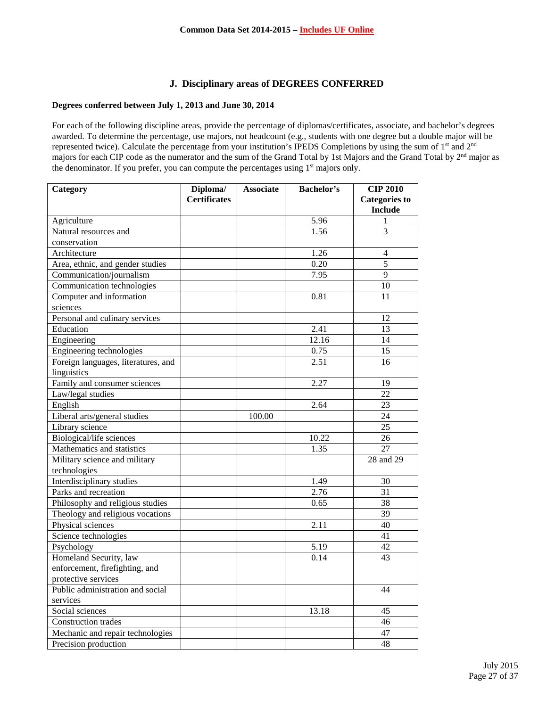# **J. Disciplinary areas of DEGREES CONFERRED**

# **Degrees conferred between July 1, 2013 and June 30, 2014**

For each of the following discipline areas, provide the percentage of diplomas/certificates, associate, and bachelor's degrees awarded. To determine the percentage, use majors, not headcount (e.g., students with one degree but a double major will be represented twice). Calculate the percentage from your institution's IPEDS Completions by using the sum of 1st and 2nd majors for each CIP code as the numerator and the sum of the Grand Total by 1st Majors and the Grand Total by 2nd major as the denominator. If you prefer, you can compute the percentages using  $1<sup>st</sup>$  majors only.

| Category                            | Diploma/            | <b>Associate</b> | <b>Bachelor's</b> | <b>CIP 2010</b>      |
|-------------------------------------|---------------------|------------------|-------------------|----------------------|
|                                     | <b>Certificates</b> |                  |                   | <b>Categories to</b> |
|                                     |                     |                  |                   | <b>Include</b>       |
| Agriculture                         |                     |                  | 5.96              | 1                    |
| Natural resources and               |                     |                  | 1.56              | $\overline{3}$       |
| conservation                        |                     |                  |                   |                      |
| Architecture                        |                     |                  | 1.26              | $\overline{4}$       |
| Area, ethnic, and gender studies    |                     |                  | 0.20              | $\overline{5}$       |
| Communication/journalism            |                     |                  | 7.95              | 9                    |
| Communication technologies          |                     |                  |                   | 10                   |
| Computer and information            |                     |                  | 0.81              | 11                   |
| sciences                            |                     |                  |                   |                      |
| Personal and culinary services      |                     |                  |                   | 12                   |
| Education                           |                     |                  | 2.41              | 13                   |
| Engineering                         |                     |                  | 12.16             | 14                   |
| Engineering technologies            |                     |                  | 0.75              | $\overline{15}$      |
| Foreign languages, literatures, and |                     |                  | 2.51              | 16                   |
| linguistics                         |                     |                  |                   |                      |
| Family and consumer sciences        |                     |                  | 2.27              | 19                   |
| Law/legal studies                   |                     |                  |                   | 22                   |
| English                             |                     |                  | 2.64              | 23                   |
| Liberal arts/general studies        |                     | 100.00           |                   | 24                   |
| Library science                     |                     |                  |                   | 25                   |
| Biological/life sciences            |                     |                  | 10.22             | 26                   |
| Mathematics and statistics          |                     |                  | 1.35              | 27                   |
| Military science and military       |                     |                  |                   | 28 and 29            |
| technologies                        |                     |                  |                   |                      |
| Interdisciplinary studies           |                     |                  | 1.49              | 30                   |
| Parks and recreation                |                     |                  | 2.76              | 31                   |
| Philosophy and religious studies    |                     |                  | 0.65              | 38                   |
| Theology and religious vocations    |                     |                  |                   | $\overline{39}$      |
| Physical sciences                   |                     |                  | 2.11              | 40                   |
| Science technologies                |                     |                  |                   | 41                   |
| Psychology                          |                     |                  | 5.19              | 42                   |
| Homeland Security, law              |                     |                  | 0.14              | 43                   |
| enforcement, firefighting, and      |                     |                  |                   |                      |
| protective services                 |                     |                  |                   |                      |
| Public administration and social    |                     |                  |                   | 44                   |
| services                            |                     |                  |                   |                      |
| Social sciences                     |                     |                  | 13.18             | 45                   |
| Construction trades                 |                     |                  |                   | 46                   |
| Mechanic and repair technologies    |                     |                  |                   | 47                   |
| Precision production                |                     |                  |                   | 48                   |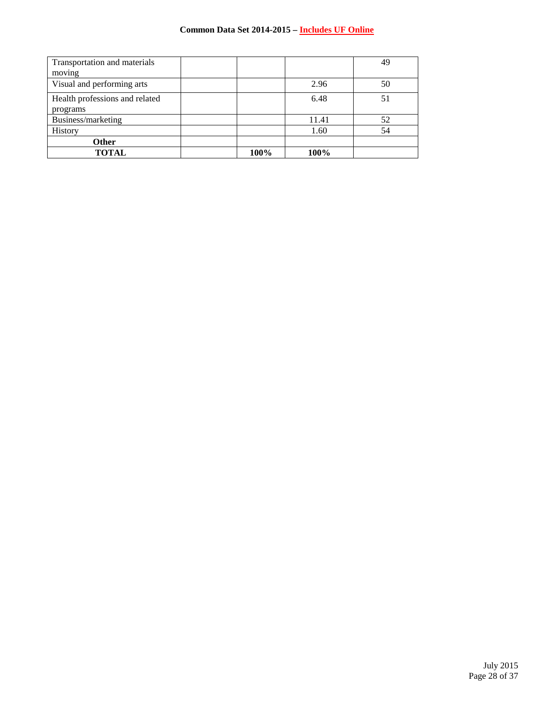# **Common Data Set 2014-2015 – Includes UF Online**

| Transportation and materials   |      |       | 49 |
|--------------------------------|------|-------|----|
| moving                         |      |       |    |
| Visual and performing arts     |      | 2.96  | 50 |
| Health professions and related |      | 6.48  | 51 |
| programs                       |      |       |    |
| Business/marketing             |      | 11.41 | 52 |
| History                        |      | 1.60  | 54 |
| Other                          |      |       |    |
| <b>TOTAL</b>                   | 100% | 100%  |    |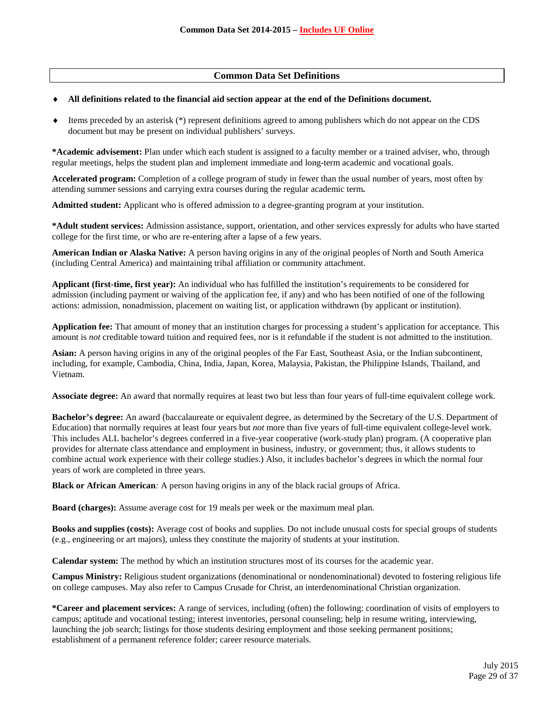# **Common Data Set Definitions**

#### ♦ **All definitions related to the financial aid section appear at the end of the Definitions document.**

 $\bullet$  Items preceded by an asterisk  $(*)$  represent definitions agreed to among publishers which do not appear on the CDS document but may be present on individual publishers' surveys.

**\*Academic advisement:** Plan under which each student is assigned to a faculty member or a trained adviser, who, through regular meetings, helps the student plan and implement immediate and long-term academic and vocational goals.

**Accelerated program:** Completion of a college program of study in fewer than the usual number of years, most often by attending summer sessions and carrying extra courses during the regular academic term**.**

**Admitted student:** Applicant who is offered admission to a degree-granting program at your institution.

**\*Adult student services:** Admission assistance, support, orientation, and other services expressly for adults who have started college for the first time, or who are re-entering after a lapse of a few years.

**American Indian or Alaska Native:** A person having origins in any of the original peoples of North and South America (including Central America) and maintaining tribal affiliation or community attachment.

**Applicant (first-time, first year):** An individual who has fulfilled the institution's requirements to be considered for admission (including payment or waiving of the application fee, if any) and who has been notified of one of the following actions: admission, nonadmission, placement on waiting list, or application withdrawn (by applicant or institution).

**Application fee:** That amount of money that an institution charges for processing a student's application for acceptance. This amount is *not* creditable toward tuition and required fees, nor is it refundable if the student is not admitted to the institution.

**Asian:** A person having origins in any of the original peoples of the Far East, Southeast Asia, or the Indian subcontinent, including, for example, Cambodia, China, India, Japan, Korea, Malaysia, Pakistan, the Philippine Islands, Thailand, and Vietnam.

**Associate degree:** An award that normally requires at least two but less than four years of full-time equivalent college work.

**Bachelor's degree:** An award (baccalaureate or equivalent degree, as determined by the Secretary of the U.S. Department of Education) that normally requires at least four years but *not* more than five years of full-time equivalent college-level work. This includes ALL bachelor's degrees conferred in a five-year cooperative (work-study plan) program. (A cooperative plan provides for alternate class attendance and employment in business, industry, or government; thus, it allows students to combine actual work experience with their college studies.) Also, it includes bachelor's degrees in which the normal four years of work are completed in three years.

**Black or African American***:* A person having origins in any of the black racial groups of Africa.

**Board (charges):** Assume average cost for 19 meals per week or the maximum meal plan.

**Books and supplies (costs):** Average cost of books and supplies. Do not include unusual costs for special groups of students (e.g., engineering or art majors), unless they constitute the majority of students at your institution.

**Calendar system:** The method by which an institution structures most of its courses for the academic year.

**Campus Ministry:** Religious student organizations (denominational or nondenominational) devoted to fostering religious life on college campuses. May also refer to Campus Crusade for Christ, an interdenominational Christian organization.

**\*Career and placement services:** A range of services, including (often) the following: coordination of visits of employers to campus; aptitude and vocational testing; interest inventories, personal counseling; help in resume writing, interviewing, launching the job search; listings for those students desiring employment and those seeking permanent positions; establishment of a permanent reference folder; career resource materials.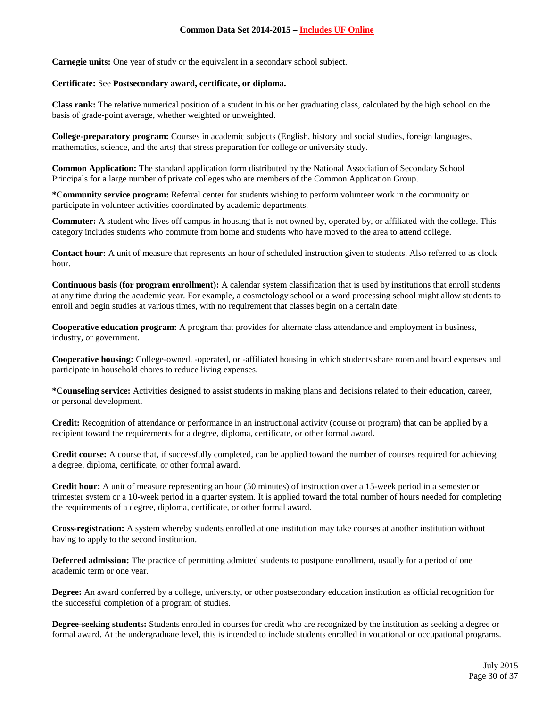**Carnegie units:** One year of study or the equivalent in a secondary school subject.

#### **Certificate:** See **Postsecondary award, certificate, or diploma.**

**Class rank:** The relative numerical position of a student in his or her graduating class, calculated by the high school on the basis of grade-point average, whether weighted or unweighted.

**College-preparatory program:** Courses in academic subjects (English, history and social studies, foreign languages, mathematics, science, and the arts) that stress preparation for college or university study.

**Common Application:** The standard application form distributed by the National Association of Secondary School Principals for a large number of private colleges who are members of the Common Application Group.

**\*Community service program:** Referral center for students wishing to perform volunteer work in the community or participate in volunteer activities coordinated by academic departments.

**Commuter:** A student who lives off campus in housing that is not owned by, operated by, or affiliated with the college. This category includes students who commute from home and students who have moved to the area to attend college.

**Contact hour:** A unit of measure that represents an hour of scheduled instruction given to students. Also referred to as clock hour.

**Continuous basis (for program enrollment):** A calendar system classification that is used by institutions that enroll students at any time during the academic year. For example, a cosmetology school or a word processing school might allow students to enroll and begin studies at various times, with no requirement that classes begin on a certain date.

**Cooperative education program:** A program that provides for alternate class attendance and employment in business, industry, or government.

**Cooperative housing:** College-owned, -operated, or -affiliated housing in which students share room and board expenses and participate in household chores to reduce living expenses.

**\*Counseling service:** Activities designed to assist students in making plans and decisions related to their education, career, or personal development.

**Credit:** Recognition of attendance or performance in an instructional activity (course or program) that can be applied by a recipient toward the requirements for a degree, diploma, certificate, or other formal award.

**Credit course:** A course that, if successfully completed, can be applied toward the number of courses required for achieving a degree, diploma, certificate, or other formal award.

**Credit hour:** A unit of measure representing an hour (50 minutes) of instruction over a 15-week period in a semester or trimester system or a 10-week period in a quarter system. It is applied toward the total number of hours needed for completing the requirements of a degree, diploma, certificate, or other formal award.

**Cross-registration:** A system whereby students enrolled at one institution may take courses at another institution without having to apply to the second institution.

**Deferred admission:** The practice of permitting admitted students to postpone enrollment, usually for a period of one academic term or one year.

**Degree:** An award conferred by a college, university, or other postsecondary education institution as official recognition for the successful completion of a program of studies.

**Degree-seeking students:** Students enrolled in courses for credit who are recognized by the institution as seeking a degree or formal award. At the undergraduate level, this is intended to include students enrolled in vocational or occupational programs.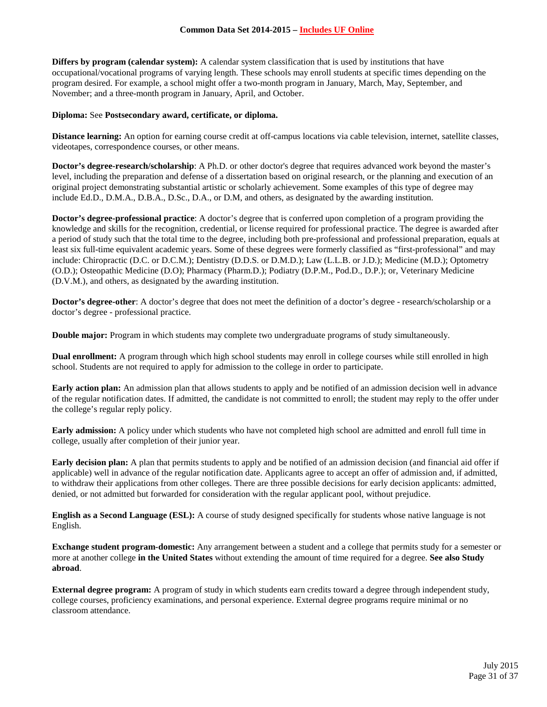**Differs by program (calendar system):** A calendar system classification that is used by institutions that have occupational/vocational programs of varying length. These schools may enroll students at specific times depending on the program desired. For example, a school might offer a two-month program in January, March, May, September, and November; and a three-month program in January, April, and October.

#### **Diploma:** See **Postsecondary award, certificate, or diploma.**

**Distance learning:** An option for earning course credit at off-campus locations via cable television, internet, satellite classes, videotapes, correspondence courses, or other means.

**Doctor's degree-research/scholarship**: A Ph.D. or other doctor's degree that requires advanced work beyond the master's level, including the preparation and defense of a dissertation based on original research, or the planning and execution of an original project demonstrating substantial artistic or scholarly achievement. Some examples of this type of degree may include Ed.D., D.M.A., D.B.A., D.Sc., D.A., or D.M, and others, as designated by the awarding institution.

**Doctor's degree-professional practice**: A doctor's degree that is conferred upon completion of a program providing the knowledge and skills for the recognition, credential, or license required for professional practice. The degree is awarded after a period of study such that the total time to the degree, including both pre-professional and professional preparation, equals at least six full-time equivalent academic years. Some of these degrees were formerly classified as "first-professional" and may include: Chiropractic (D.C. or D.C.M.); Dentistry (D.D.S. or D.M.D.); Law (L.L.B. or J.D.); Medicine (M.D.); Optometry (O.D.); Osteopathic Medicine (D.O); Pharmacy (Pharm.D.); Podiatry (D.P.M., Pod.D., D.P.); or, Veterinary Medicine (D.V.M.), and others, as designated by the awarding institution.

**Doctor's degree-other**: A doctor's degree that does not meet the definition of a doctor's degree - research/scholarship or a doctor's degree - professional practice.

**Double major:** Program in which students may complete two undergraduate programs of study simultaneously.

**Dual enrollment:** A program through which high school students may enroll in college courses while still enrolled in high school. Students are not required to apply for admission to the college in order to participate.

**Early action plan:** An admission plan that allows students to apply and be notified of an admission decision well in advance of the regular notification dates. If admitted, the candidate is not committed to enroll; the student may reply to the offer under the college's regular reply policy.

**Early admission:** A policy under which students who have not completed high school are admitted and enroll full time in college, usually after completion of their junior year.

**Early decision plan:** A plan that permits students to apply and be notified of an admission decision (and financial aid offer if applicable) well in advance of the regular notification date. Applicants agree to accept an offer of admission and, if admitted, to withdraw their applications from other colleges. There are three possible decisions for early decision applicants: admitted, denied, or not admitted but forwarded for consideration with the regular applicant pool, without prejudice.

**English as a Second Language (ESL):** A course of study designed specifically for students whose native language is not English.

**Exchange student program-domestic:** Any arrangement between a student and a college that permits study for a semester or more at another college **in the United States** without extending the amount of time required for a degree. **See also Study abroad**.

**External degree program:** A program of study in which students earn credits toward a degree through independent study, college courses, proficiency examinations, and personal experience. External degree programs require minimal or no classroom attendance.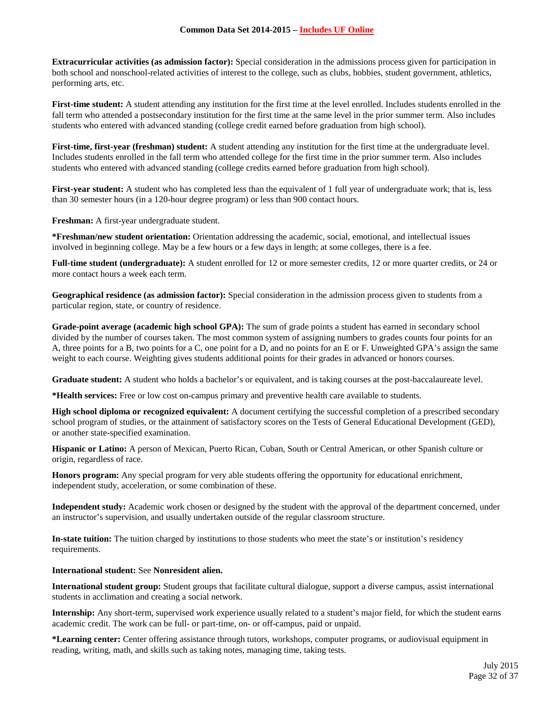#### **Common Data Set 2014-2015 – Includes UF Online**

**Extracurricular activities (as admission factor):** Special consideration in the admissions process given for participation in both school and nonschool-related activities of interest to the college, such as clubs, hobbies, student government, athletics, performing arts, etc.

**First-time student:** A student attending any institution for the first time at the level enrolled. Includes students enrolled in the fall term who attended a postsecondary institution for the first time at the same level in the prior summer term. Also includes students who entered with advanced standing (college credit earned before graduation from high school).

**First-time, first-year (freshman) student:** A student attending any institution for the first time at the undergraduate level. Includes students enrolled in the fall term who attended college for the first time in the prior summer term. Also includes students who entered with advanced standing (college credits earned before graduation from high school).

**First-year student:** A student who has completed less than the equivalent of 1 full year of undergraduate work; that is, less than 30 semester hours (in a 120-hour degree program) or less than 900 contact hours.

**Freshman:** A first-year undergraduate student.

**\*Freshman/new student orientation:** Orientation addressing the academic, social, emotional, and intellectual issues involved in beginning college. May be a few hours or a few days in length; at some colleges, there is a fee.

**Full-time student (undergraduate):** A student enrolled for 12 or more semester credits, 12 or more quarter credits, or 24 or more contact hours a week each term.

**Geographical residence (as admission factor):** Special consideration in the admission process given to students from a particular region, state, or country of residence.

**Grade-point average (academic high school GPA):** The sum of grade points a student has earned in secondary school divided by the number of courses taken. The most common system of assigning numbers to grades counts four points for an A, three points for a B, two points for a C, one point for a D, and no points for an E or F. Unweighted GPA's assign the same weight to each course. Weighting gives students additional points for their grades in advanced or honors courses.

**Graduate student:** A student who holds a bachelor's or equivalent, and is taking courses at the post-baccalaureate level.

**\*Health services:** Free or low cost on-campus primary and preventive health care available to students.

**High school diploma or recognized equivalent:** A document certifying the successful completion of a prescribed secondary school program of studies, or the attainment of satisfactory scores on the Tests of General Educational Development (GED), or another state-specified examination.

**Hispanic or Latino:** A person of Mexican, Puerto Rican, Cuban, South or Central American, or other Spanish culture or origin, regardless of race.

**Honors program:** Any special program for very able students offering the opportunity for educational enrichment, independent study, acceleration, or some combination of these.

**Independent study:** Academic work chosen or designed by the student with the approval of the department concerned, under an instructor's supervision, and usually undertaken outside of the regular classroom structure.

**In-state tuition:** The tuition charged by institutions to those students who meet the state's or institution's residency requirements.

**International student:** See **Nonresident alien.**

**International student group:** Student groups that facilitate cultural dialogue, support a diverse campus, assist international students in acclimation and creating a social network.

**Internship:** Any short-term, supervised work experience usually related to a student's major field, for which the student earns academic credit. The work can be full- or part-time, on- or off-campus, paid or unpaid.

**\*Learning center:** Center offering assistance through tutors, workshops, computer programs, or audiovisual equipment in reading, writing, math, and skills such as taking notes, managing time, taking tests.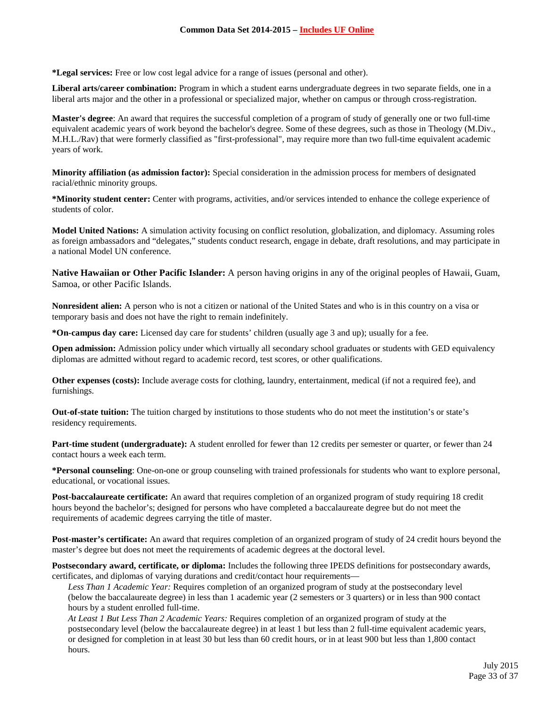**\*Legal services:** Free or low cost legal advice for a range of issues (personal and other).

**Liberal arts/career combination:** Program in which a student earns undergraduate degrees in two separate fields, one in a liberal arts major and the other in a professional or specialized major, whether on campus or through cross-registration.

**Master's degree**: An award that requires the successful completion of a program of study of generally one or two full-time equivalent academic years of work beyond the bachelor's degree. Some of these degrees, such as those in Theology (M.Div., M.H.L./Rav) that were formerly classified as "first-professional", may require more than two full-time equivalent academic years of work.

**Minority affiliation (as admission factor):** Special consideration in the admission process for members of designated racial/ethnic minority groups.

**\*Minority student center:** Center with programs, activities, and/or services intended to enhance the college experience of students of color.

**Model United Nations:** A simulation activity focusing on conflict resolution, globalization, and diplomacy. Assuming roles as foreign ambassadors and "delegates," students conduct research, engage in debate, draft resolutions, and may participate in a national Model UN conference.

**Native Hawaiian or Other Pacific Islander:** A person having origins in any of the original peoples of Hawaii, Guam, Samoa, or other Pacific Islands.

**Nonresident alien:** A person who is not a citizen or national of the United States and who is in this country on a visa or temporary basis and does not have the right to remain indefinitely.

**\*On-campus day care:** Licensed day care for students' children (usually age 3 and up); usually for a fee.

**Open admission:** Admission policy under which virtually all secondary school graduates or students with GED equivalency diplomas are admitted without regard to academic record, test scores, or other qualifications.

**Other expenses (costs):** Include average costs for clothing, laundry, entertainment, medical (if not a required fee), and furnishings.

**Out-of-state tuition:** The tuition charged by institutions to those students who do not meet the institution's or state's residency requirements.

**Part-time student (undergraduate):** A student enrolled for fewer than 12 credits per semester or quarter, or fewer than 24 contact hours a week each term.

**\*Personal counseling**: One-on-one or group counseling with trained professionals for students who want to explore personal, educational, or vocational issues.

**Post-baccalaureate certificate:** An award that requires completion of an organized program of study requiring 18 credit hours beyond the bachelor's; designed for persons who have completed a baccalaureate degree but do not meet the requirements of academic degrees carrying the title of master.

**Post-master's certificate:** An award that requires completion of an organized program of study of 24 credit hours beyond the master's degree but does not meet the requirements of academic degrees at the doctoral level.

**Postsecondary award, certificate, or diploma:** Includes the following three IPEDS definitions for postsecondary awards, certificates, and diplomas of varying durations and credit/contact hour requirements—

*Less Than 1 Academic Year:* Requires completion of an organized program of study at the postsecondary level (below the baccalaureate degree) in less than 1 academic year (2 semesters or 3 quarters) or in less than 900 contact hours by a student enrolled full-time.

*At Least 1 But Less Than 2 Academic Years:* Requires completion of an organized program of study at the postsecondary level (below the baccalaureate degree) in at least 1 but less than 2 full-time equivalent academic years, or designed for completion in at least 30 but less than 60 credit hours, or in at least 900 but less than 1,800 contact hours.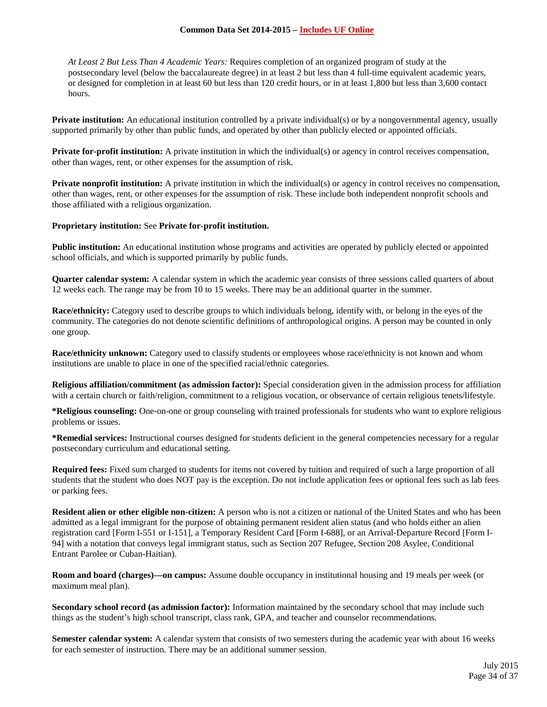#### **Common Data Set 2014-2015 – Includes UF Online**

*At Least 2 But Less Than 4 Academic Years:* Requires completion of an organized program of study at the postsecondary level (below the baccalaureate degree) in at least 2 but less than 4 full-time equivalent academic years, or designed for completion in at least 60 but less than 120 credit hours, or in at least 1,800 but less than 3,600 contact hours.

**Private institution:** An educational institution controlled by a private individual(s) or by a nongovernmental agency, usually supported primarily by other than public funds, and operated by other than publicly elected or appointed officials.

**Private for-profit institution:** A private institution in which the individual(s) or agency in control receives compensation, other than wages, rent, or other expenses for the assumption of risk.

**Private nonprofit institution:** A private institution in which the individual(s) or agency in control receives no compensation, other than wages, rent, or other expenses for the assumption of risk. These include both independent nonprofit schools and those affiliated with a religious organization.

#### **Proprietary institution:** See **Private for-profit institution.**

**Public institution:** An educational institution whose programs and activities are operated by publicly elected or appointed school officials, and which is supported primarily by public funds.

**Quarter calendar system:** A calendar system in which the academic year consists of three sessions called quarters of about 12 weeks each. The range may be from 10 to 15 weeks. There may be an additional quarter in the summer.

**Race/ethnicity:** Category used to describe groups to which individuals belong, identify with, or belong in the eyes of the community. The categories do not denote scientific definitions of anthropological origins. A person may be counted in only one group.

**Race/ethnicity unknown:** Category used to classify students or employees whose race/ethnicity is not known and whom institutions are unable to place in one of the specified racial/ethnic categories.

**Religious affiliation/commitment (as admission factor):** Special consideration given in the admission process for affiliation with a certain church or faith/religion, commitment to a religious vocation, or observance of certain religious tenets/lifestyle.

**\*Religious counseling:** One-on-one or group counseling with trained professionals for students who want to explore religious problems or issues.

**\*Remedial services:** Instructional courses designed for students deficient in the general competencies necessary for a regular postsecondary curriculum and educational setting.

**Required fees:** Fixed sum charged to students for items not covered by tuition and required of such a large proportion of all students that the student who does NOT pay is the exception. Do not include application fees or optional fees such as lab fees or parking fees.

**Resident alien or other eligible non-citizen:** A person who is not a citizen or national of the United States and who has been admitted as a legal immigrant for the purpose of obtaining permanent resident alien status (and who holds either an alien registration card [Form I-551 or I-151], a Temporary Resident Card [Form I-688], or an Arrival-Departure Record [Form I-94] with a notation that conveys legal immigrant status, such as Section 207 Refugee, Section 208 Asylee, Conditional Entrant Parolee or Cuban-Haitian).

**Room and board (charges)—on campus:** Assume double occupancy in institutional housing and 19 meals per week (or maximum meal plan).

**Secondary school record (as admission factor):** Information maintained by the secondary school that may include such things as the student's high school transcript, class rank, GPA, and teacher and counselor recommendations.

**Semester calendar system:** A calendar system that consists of two semesters during the academic year with about 16 weeks for each semester of instruction. There may be an additional summer session.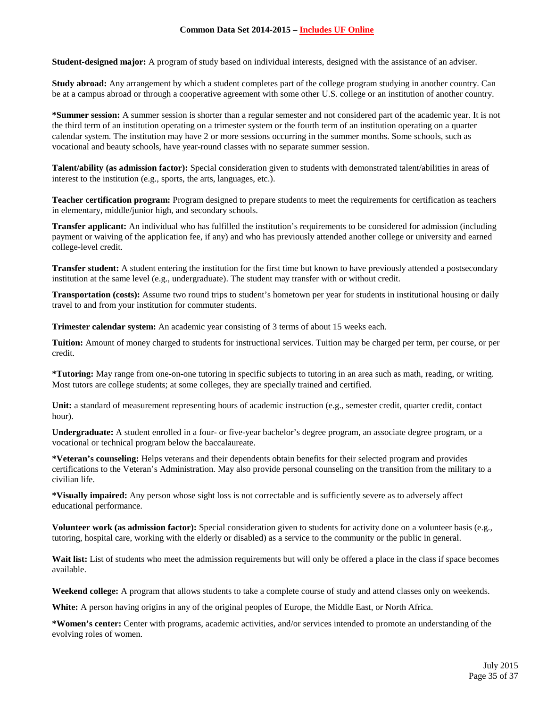**Student-designed major:** A program of study based on individual interests, designed with the assistance of an adviser.

**Study abroad:** Any arrangement by which a student completes part of the college program studying in another country. Can be at a campus abroad or through a cooperative agreement with some other U.S. college or an institution of another country.

**\*Summer session:** A summer session is shorter than a regular semester and not considered part of the academic year. It is not the third term of an institution operating on a trimester system or the fourth term of an institution operating on a quarter calendar system. The institution may have 2 or more sessions occurring in the summer months. Some schools, such as vocational and beauty schools, have year-round classes with no separate summer session.

**Talent/ability (as admission factor):** Special consideration given to students with demonstrated talent/abilities in areas of interest to the institution (e.g., sports, the arts, languages, etc.).

**Teacher certification program:** Program designed to prepare students to meet the requirements for certification as teachers in elementary, middle/junior high, and secondary schools.

**Transfer applicant:** An individual who has fulfilled the institution's requirements to be considered for admission (including payment or waiving of the application fee, if any) and who has previously attended another college or university and earned college-level credit.

**Transfer student:** A student entering the institution for the first time but known to have previously attended a postsecondary institution at the same level (e.g., undergraduate). The student may transfer with or without credit.

**Transportation (costs):** Assume two round trips to student's hometown per year for students in institutional housing or daily travel to and from your institution for commuter students.

**Trimester calendar system:** An academic year consisting of 3 terms of about 15 weeks each.

**Tuition:** Amount of money charged to students for instructional services. Tuition may be charged per term, per course, or per credit.

**\*Tutoring:** May range from one-on-one tutoring in specific subjects to tutoring in an area such as math, reading, or writing. Most tutors are college students; at some colleges, they are specially trained and certified.

**Unit:** a standard of measurement representing hours of academic instruction (e.g., semester credit, quarter credit, contact hour).

**Undergraduate:** A student enrolled in a four- or five-year bachelor's degree program, an associate degree program, or a vocational or technical program below the baccalaureate.

**\*Veteran's counseling:** Helps veterans and their dependents obtain benefits for their selected program and provides certifications to the Veteran's Administration. May also provide personal counseling on the transition from the military to a civilian life.

**\*Visually impaired:** Any person whose sight loss is not correctable and is sufficiently severe as to adversely affect educational performance.

**Volunteer work (as admission factor):** Special consideration given to students for activity done on a volunteer basis (e.g., tutoring, hospital care, working with the elderly or disabled) as a service to the community or the public in general.

Wait list: List of students who meet the admission requirements but will only be offered a place in the class if space becomes available.

**Weekend college:** A program that allows students to take a complete course of study and attend classes only on weekends.

**White:** A person having origins in any of the original peoples of Europe, the Middle East, or North Africa.

**\*Women's center:** Center with programs, academic activities, and/or services intended to promote an understanding of the evolving roles of women.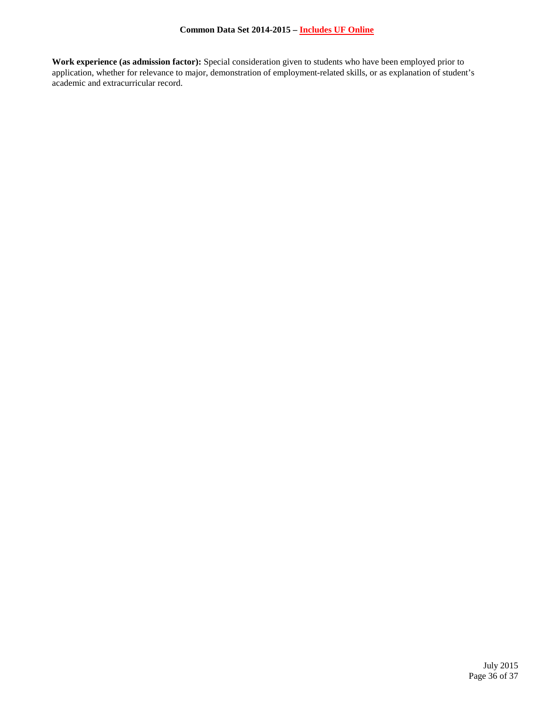**Work experience (as admission factor):** Special consideration given to students who have been employed prior to application, whether for relevance to major, demonstration of employment-related skills, or as explanation of student's academic and extracurricular record.